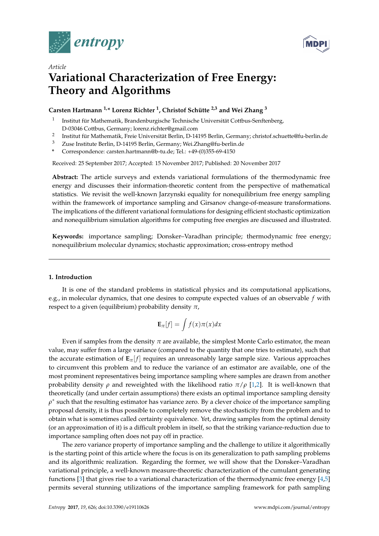



# *Article* **Variational Characterization of Free Energy: Theory and Algorithms**

# **Carsten Hartmann 1,\* Lorenz Richter <sup>1</sup> , Christof Schütte 2,3 and Wei Zhang <sup>3</sup>**

- 1 Institut für Mathematik, Brandenburgische Technische Universität Cottbus-Senftenberg, D-03046 Cottbus, Germany; lorenz.richter@gmail.com
- 2 Institut für Mathematik, Freie Universität Berlin, D-14195 Berlin, Germany; christof.schuette@fu-berlin.de
- Zuse Institute Berlin, D-14195 Berlin, Germany; Wei.Zhang@fu-berlin.de
- **\*** Correspondence: carsten.hartmann@b-tu.de; Tel.: +49-(0)355-69-4150

Received: 25 September 2017; Accepted: 15 November 2017; Published: 20 November 2017

**Abstract:** The article surveys and extends variational formulations of the thermodynamic free energy and discusses their information-theoretic content from the perspective of mathematical statistics. We revisit the well-known Jarzynski equality for nonequilibrium free energy sampling within the framework of importance sampling and Girsanov change-of-measure transformations. The implications of the different variational formulations for designing efficient stochastic optimization and nonequilibrium simulation algorithms for computing free energies are discussed and illustrated.

**Keywords:** importance sampling; Donsker–Varadhan principle; thermodynamic free energy; nonequilibrium molecular dynamics; stochastic approximation; cross-entropy method

## **1. Introduction**

It is one of the standard problems in statistical physics and its computational applications, e.g., in molecular dynamics, that one desires to compute expected values of an observable *f* with respect to a given (equilibrium) probability density *π*,

$$
\mathbf{E}_{\pi}[f] = \int f(x)\pi(x)dx
$$

Even if samples from the density *π* are available, the simplest Monte Carlo estimator, the mean value, may suffer from a large variance (compared to the quantity that one tries to estimate), such that the accurate estimation of  $\mathbf{E}_{\pi}[f]$  requires an unreasonably large sample size. Various approaches to circumvent this problem and to reduce the variance of an estimator are available, one of the most prominent representatives being importance sampling where samples are drawn from another probability density *ρ* and reweighted with the likelihood ratio *π*/*ρ* [\[1](#page-24-0)[,2\]](#page-24-1). It is well-known that theoretically (and under certain assumptions) there exists an optimal importance sampling density  $\rho^*$  such that the resulting estimator has variance zero. By a clever choice of the importance sampling proposal density, it is thus possible to completely remove the stochasticity from the problem and to obtain what is sometimes called certainty equivalence. Yet, drawing samples from the optimal density (or an approximation of it) is a difficult problem in itself, so that the striking variance-reduction due to importance sampling often does not pay off in practice.

The zero variance property of importance sampling and the challenge to utilize it algorithmically is the starting point of this article where the focus is on its generalization to path sampling problems and its algorithmic realization. Regarding the former, we will show that the Donsker–Varadhan variational principle, a well-known measure-theoretic characterization of the cumulant generating functions [\[3\]](#page-24-2) that gives rise to a variational characterization of the thermodynamic free energy [\[4](#page-24-3)[,5\]](#page-24-4) permits several stunning utilizations of the importance sampling framework for path sampling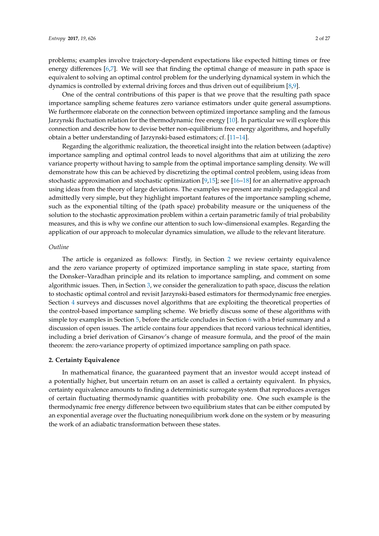problems; examples involve trajectory-dependent expectations like expected hitting times or free energy differences [\[6,](#page-24-5)[7\]](#page-24-6). We will see that finding the optimal change of measure in path space is equivalent to solving an optimal control problem for the underlying dynamical system in which the dynamics is controlled by external driving forces and thus driven out of equilibrium [\[8,](#page-24-7)[9\]](#page-24-8).

One of the central contributions of this paper is that we prove that the resulting path space importance sampling scheme features zero variance estimators under quite general assumptions. We furthermore elaborate on the connection between optimized importance sampling and the famous Jarzynski fluctuation relation for the thermodynamic free energy [\[10\]](#page-24-9). In particular we will explore this connection and describe how to devise better non-equilibrium free energy algorithms, and hopefully obtain a better understanding of Jarzynski-based estimators; cf. [\[11–](#page-24-10)[14\]](#page-24-11).

Regarding the algorithmic realization, the theoretical insight into the relation between (adaptive) importance sampling and optimal control leads to novel algorithms that aim at utilizing the zero variance property without having to sample from the optimal importance sampling density. We will demonstrate how this can be achieved by discretizing the optimal control problem, using ideas from stochastic approximation and stochastic optimization [\[9](#page-24-8)[,15\]](#page-25-0); see [\[16–](#page-25-1)[18\]](#page-25-2) for an alternative approach using ideas from the theory of large deviations. The examples we present are mainly pedagogical and admittedly very simple, but they highlight important features of the importance sampling scheme, such as the exponential tilting of the (path space) probability measure or the uniqueness of the solution to the stochastic approximation problem within a certain parametric family of trial probability measures, and this is why we confine our attention to such low-dimensional examples. Regarding the application of our approach to molecular dynamics simulation, we allude to the relevant literature.

## *Outline*

The article is organized as follows: Firstly, in Section [2](#page-1-0) we review certainty equivalence and the zero variance property of optimized importance sampling in state space, starting from the Donsker–Varadhan principle and its relation to importance sampling, and comment on some algorithmic issues. Then, in Section [3,](#page-5-0) we consider the generalization to path space, discuss the relation to stochastic optimal control and revisit Jarzynski-based estimators for thermodynamic free energies. Section [4](#page-10-0) surveys and discusses novel algorithms that are exploiting the theoretical properties of the control-based importance sampling scheme. We briefly discuss some of these algorithms with simple toy examples in Section [5,](#page-16-0) before the article concludes in Section [6](#page-19-0) with a brief summary and a discussion of open issues. The article contains four appendices that record various technical identities, including a brief derivation of Girsanov's change of measure formula, and the proof of the main theorem: the zero-variance property of optimized importance sampling on path space.

#### <span id="page-1-0"></span>**2. Certainty Equivalence**

In mathematical finance, the guaranteed payment that an investor would accept instead of a potentially higher, but uncertain return on an asset is called a certainty equivalent. In physics, certainty equivalence amounts to finding a deterministic surrogate system that reproduces averages of certain fluctuating thermodynamic quantities with probability one. One such example is the thermodynamic free energy difference between two equilibrium states that can be either computed by an exponential average over the fluctuating nonequilibrium work done on the system or by measuring the work of an adiabatic transformation between these states.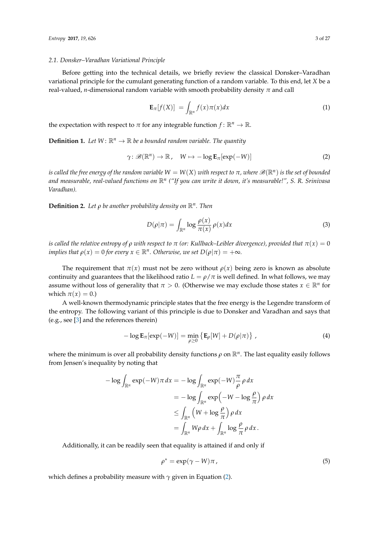#### <span id="page-2-4"></span>*2.1. Donsker–Varadhan Variational Principle*

Before getting into the technical details, we briefly review the classical Donsker–Varadhan variational principle for the cumulant generating function of a random variable. To this end, let *X* be a real-valued, *n*-dimensional random variable with smooth probability density *π* and call

$$
\mathbf{E}_{\pi}[f(X)] = \int_{\mathbb{R}^n} f(x)\pi(x)dx \tag{1}
$$

the expectation with respect to  $\pi$  for any integrable function  $f: \mathbb{R}^n \to \mathbb{R}$ .

**Definition 1.** Let  $W: \mathbb{R}^n \to \mathbb{R}$  be a bounded random variable. The quantity

<span id="page-2-0"></span>
$$
\gamma \colon \mathscr{B}(\mathbb{R}^n) \to \mathbb{R}, \quad W \mapsto -\log \mathbf{E}_{\pi}[\exp(-W)] \tag{2}
$$

 $i$  *s* called the free energy of the random variable  $W = W(X)$  with respect to  $\pi$ , where  $\mathscr{B}(\mathbb{R}^n)$  is the set of bounded *and measurable, real-valued functions on* R*<sup>n</sup> ("If you can write it down, it's measurable!", S. R. Srinivasa Varadhan).*

**Definition 2.** *Let ρ be another probability density on* R*<sup>n</sup> . Then*

<span id="page-2-3"></span>
$$
D(\rho|\pi) = \int_{\mathbb{R}^n} \log \frac{\rho(x)}{\pi(x)} \rho(x) dx \tag{3}
$$

*is called the relative entropy of*  $\rho$  *with respect to*  $\pi$  (or: Kullback–Leibler divergence), provided that  $\pi(x) = 0$ *implies that*  $\rho(x) = 0$  *for every*  $x \in \mathbb{R}^n$ . Otherwise, we set  $D(\rho|\pi) = +\infty$ .

The requirement that  $\pi(x)$  must not be zero without  $\rho(x)$  being zero is known as absolute continuity and guarantees that the likelihood ratio  $L = \rho/\pi$  is well defined. In what follows, we may assume without loss of generality that  $\pi > 0$ . (Otherwise we may exclude those states  $x \in \mathbb{R}^n$  for which  $\pi(x) = 0.$ )

A well-known thermodynamic principle states that the free energy is the Legendre transform of the entropy. The following variant of this principle is due to Donsker and Varadhan and says that (e.g., see [\[3\]](#page-24-2) and the references therein)

<span id="page-2-1"></span>
$$
-\log \mathbf{E}_{\pi}[\exp(-W)] = \min_{\rho \ge 0} \left\{ \mathbf{E}_{\rho}[W] + D(\rho|\pi) \right\},\tag{4}
$$

where the minimum is over all probability density functions  $\rho$  on  $\mathbb{R}^n$ . The last equality easily follows from Jensen's inequality by noting that

$$
-\log \int_{\mathbb{R}^n} \exp(-W) \pi \, dx = -\log \int_{\mathbb{R}^n} \exp(-W) \frac{\pi}{\rho} \rho \, dx
$$

$$
= -\log \int_{\mathbb{R}^n} \exp(-W - \log \frac{\rho}{\pi}) \rho \, dx
$$

$$
\leq \int_{\mathbb{R}^n} \left( W + \log \frac{\rho}{\pi} \right) \rho \, dx
$$

$$
= \int_{\mathbb{R}^n} W \rho \, dx + \int_{\mathbb{R}^n} \log \frac{\rho}{\pi} \rho \, dx.
$$

Additionally, it can be readily seen that equality is attained if and only if

<span id="page-2-2"></span>
$$
\rho^* = \exp(\gamma - W)\pi\,,\tag{5}
$$

which defines a probability measure with *γ* given in Equation [\(2\)](#page-2-0).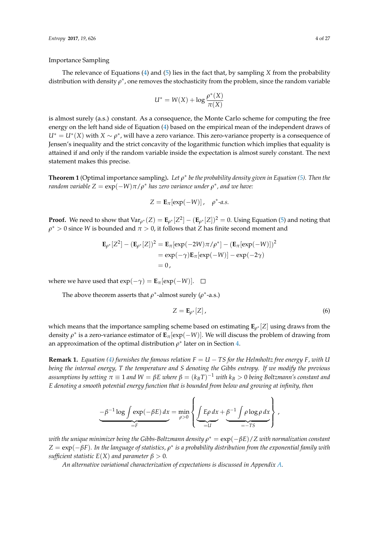Importance Sampling

The relevance of Equations [\(4\)](#page-2-1) and [\(5\)](#page-2-2) lies in the fact that, by sampling *X* from the probability distribution with density  $\rho^*$ , one removes the stochasticity from the problem, since the random variable

$$
U^* = W(X) + \log \frac{\rho^*(X)}{\pi(X)}
$$

is almost surely (a.s.) constant. As a consequence, the Monte Carlo scheme for computing the free energy on the left hand side of Equation [\(4\)](#page-2-1) based on the empirical mean of the independent draws of  $U^* = U^*(X)$  with  $X \sim \rho^*$ , will have a zero variance. This zero-variance property is a consequence of Jensen's inequality and the strict concavity of the logarithmic function which implies that equality is attained if and only if the random variable inside the expectation is almost surely constant. The next statement makes this precise.

<span id="page-3-1"></span>**Theorem 1** (Optimal importance sampling)**.** *Let ρ* ∗ *be the probability density given in Equation [\(5\)](#page-2-2). Then the*  $r$ andom  $variable\ Z = \exp(-W)\pi/\rho^*$  has zero  $variance$  under  $\rho^*$ , and  $we$  have:

$$
Z = \mathbf{E}_{\pi}[\exp(-W)], \quad \rho^* \text{-} a.s.
$$

**Proof.** We need to show that  $Var_{\rho^*}(Z) = \mathbf{E}_{\rho^*}[Z^2] - (\mathbf{E}_{\rho^*}[Z])^2 = 0$ . Using Equation [\(5\)](#page-2-2) and noting that  $\rho^* > 0$  since *W* is bounded and  $\pi > 0$ , it follows that *Z* has finite second moment and

$$
\mathbf{E}_{\rho^*}[Z^2] - (\mathbf{E}_{\rho^*}[Z])^2 = \mathbf{E}_{\pi}[\exp(-2W)\pi/\rho^*] - (\mathbf{E}_{\pi}[\exp(-W)])^2
$$
  
=  $\exp(-\gamma)\mathbf{E}_{\pi}[\exp(-W)] - \exp(-2\gamma)$   
= 0,

where we have used that  $exp(-γ) = **E**<sub>π</sub>[exp(-W)].$  □

The above theorem asserts that  $\rho^*$ -almost surely ( $\rho^*$ -a.s.)

<span id="page-3-0"></span>
$$
Z = \mathbf{E}_{\rho^*}[Z],\tag{6}
$$

which means that the importance sampling scheme based on estimating **E***<sup>ρ</sup>* <sup>∗</sup> [*Z*] using draws from the density  $\rho^*$  is a zero-variance estimator of  $\mathbf{E}_{\pi}[\exp(-W)]$ . We will discuss the problem of drawing from an approximation of the optimal distribution  $\rho^*$  later on in Section [4.](#page-10-0)

**Remark 1.** *Equation [\(4\)](#page-2-1) furnishes the famous relation*  $F = U - TS$  *for the Helmholtz free energy F, with U being the internal energy, T the temperature and S denoting the Gibbs entropy. If we modify the previous assumptions by setting π* ≡ 1 *and W* = *βE where β* = (*kBT*) <sup>−</sup><sup>1</sup> *with k<sup>B</sup>* > 0 *being Boltzmann's constant and E denoting a smooth potential energy function that is bounded from below and growing at infinity, then*

$$
\underbrace{-\beta^{-1}\log\int\limits_{=F}\exp(-\beta E)\,dx}_{=F} = \min_{\rho>0}\left\{\underbrace{\int\limits_{=U} E\rho\,dx}_{=U} + \underbrace{\beta^{-1}\int\limits_{=T} \rho\log\rho\,dx}_{=-TS}\right\},
$$

 $\overline{\phantom{a}}$ 

 $t$  with the unique minimizer being the Gibbs-Boltzmann density  $\rho^*=\exp(-\beta E)/Z$  with normalization constant  $Z = \exp(-\beta F)$ . In the language of statistics,  $\rho^*$  is a probability distribution from the exponential family with *sufficient statistic*  $E(X)$  *and parameter*  $\beta > 0$ *.* 

*An alternative variational characterization of expectations is discussed in Appendix [A.](#page-19-1)*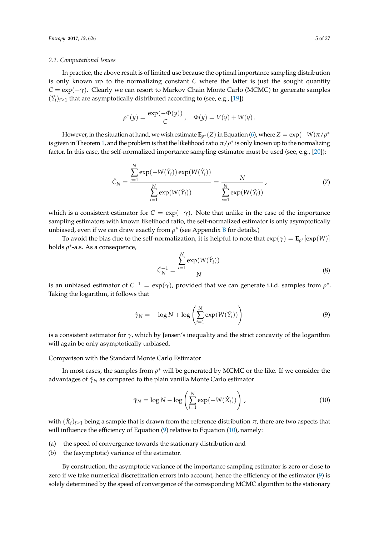## *2.2. Computational Issues*

In practice, the above result is of limited use because the optimal importance sampling distribution is only known up to the normalizing constant *C* where the latter is just the sought quantity *C* = exp(−*γ*). Clearly we can resort to Markov Chain Monte Carlo (MCMC) to generate samples  $(\hat{Y}_i)_{i\geq 1}$  that are asymptotically distributed according to (see, e.g., [\[19\]](#page-25-3))

$$
\rho^*(y) = \frac{\exp(-\Phi(y))}{C}
$$
,  $\Phi(y) = V(y) + W(y)$ .

However, in the situation at hand, we wish estimate  $\mathbf{E}_{\rho^*}(Z)$  in Equation [\(6\)](#page-3-0), where  $Z = \exp(-W)\pi/\rho^*$ is given in Theorem [1,](#page-3-1) and the problem is that the likelihood ratio  $\pi/\rho^*$  is only known up to the normalizing factor. In this case, the self-normalized importance sampling estimator must be used (see, e.g., [\[20\]](#page-25-4)):

<span id="page-4-2"></span>
$$
\hat{C}_N = \frac{\sum_{i=1}^N \exp(-W(\hat{Y}_i)) \exp(W(\hat{Y}_i))}{\sum_{i=1}^N \exp(W(\hat{Y}_i))} = \frac{N}{\sum_{i=1}^N \exp(W(\hat{Y}_i))},\tag{7}
$$

which is a consistent estimator for  $C = \exp(-\gamma)$ . Note that unlike in the case of the importance sampling estimators with known likelihood ratio, the self-normalized estimator is only asymptotically unbiased, even if we can draw exactly from  $\rho^*$  (see Appendix [B](#page-20-0) for details.)

To avoid the bias due to the self-normalization, it is helpful to note that  $\exp(\gamma) = \mathbf{E}_{\rho^*}[\exp(W)]$ holds *ρ* ∗ -a.s. As a consequence,

$$
\hat{C}_N^{-1} = \frac{\sum_{i=1}^N \exp(W(\hat{Y}_i))}{N} \tag{8}
$$

is an unbiased estimator of  $C^{-1} = \exp(\gamma)$ , provided that we can generate i.i.d. samples from  $\rho^*$ . Taking the logarithm, it follows that

<span id="page-4-0"></span>
$$
\hat{\gamma}_N = -\log N + \log \left( \sum_{i=1}^N \exp(W(\hat{Y}_i)) \right) \tag{9}
$$

is a consistent estimator for *γ*, which by Jensen's inequality and the strict concavity of the logarithm will again be only asymptotically unbiased.

Comparison with the Standard Monte Carlo Estimator

In most cases, the samples from  $\rho^*$  will be generated by MCMC or the like. If we consider the advantages of *γ*ˆ *<sup>N</sup>* as compared to the plain vanilla Monte Carlo estimator

<span id="page-4-1"></span>
$$
\tilde{\gamma}_N = \log N - \log \left( \sum_{i=1}^N \exp(-W(\hat{X}_i)) \right), \qquad (10)
$$

with  $(\hat{X}_i)_{i\geq 1}$  being a sample that is drawn from the reference distribution  $\pi$ , there are two aspects that will influence the efficiency of Equation [\(9\)](#page-4-0) relative to Equation [\(10\)](#page-4-1), namely:

- (a) the speed of convergence towards the stationary distribution and
- (b) the (asymptotic) variance of the estimator.

By construction, the asymptotic variance of the importance sampling estimator is zero or close to zero if we take numerical discretization errors into account, hence the efficiency of the estimator [\(9\)](#page-4-0) is solely determined by the speed of convergence of the corresponding MCMC algorithm to the stationary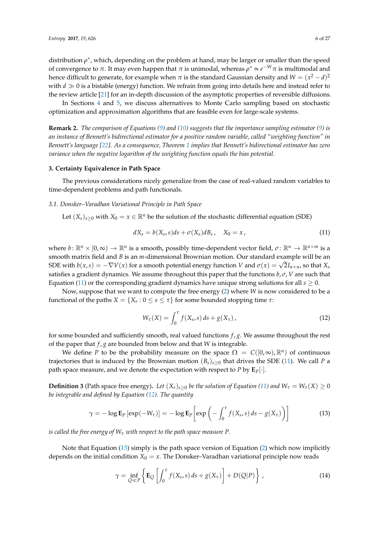distribution *ρ*<sup>\*</sup>, which, depending on the problem at hand, may be larger or smaller than the speed of convergence to *π*. It may even happen that *π* is unimodal, whereas  $\rho^* \propto e^{-W} \pi$  is multimodal and hence difficult to generate, for example when  $\pi$  is the standard Gaussian density and  $W = (x^2 - d)^2$ with  $d \gg 0$  is a bistable (energy) function. We refrain from going into details here and instead refer to the review article [\[21\]](#page-25-5) for an in-depth discussion of the asymptotic properties of reversible diffusions.

In Sections [4](#page-10-0) and [5,](#page-16-0) we discuss alternatives to Monte Carlo sampling based on stochastic optimization and approximation algorithms that are feasible even for large-scale systems.

**Remark 2.** *The comparison of Equations [\(9\)](#page-4-0) and [\(10\)](#page-4-1) suggests that the importance sampling estimator [\(9\)](#page-4-0) is an instance of Bennett's bidirectional estimator for a positive random variable, called "weighting function" in Bennett's language [\[22\]](#page-25-6). As a consequence, Theorem [1](#page-3-1) implies that Bennett's bidirectional estimator has zero variance when the negative logarithm of the weighting function equals the bias potential.*

## <span id="page-5-0"></span>**3. Certainty Equivalence in Path Space**

The previous considerations nicely generalize from the case of real-valued random variables to time-dependent problems and path functionals.

## <span id="page-5-5"></span>*3.1. Donsker–Varadhan Variational Principle in Path Space*

Let  $(X_s)_{s>0}$  with  $X_0 = x \in \mathbb{R}^n$  be the solution of the stochastic differential equation (SDE)

<span id="page-5-1"></span>
$$
dX_s = b(X_s, s)ds + \sigma(X_s)dB_s, \quad X_0 = x, \tag{11}
$$

where  $b: \mathbb{R}^n \times [0,\infty) \to \mathbb{R}^n$  is a smooth, possibly time-dependent vector field,  $\sigma: \mathbb{R}^n \to \mathbb{R}^{n \times m}$  is a smooth matrix field and *B* is an *m*-dimensional Brownian motion. Our standard example will be an SDE with  $b(x, s) = -\nabla V(x)$  for a smooth potential energy function *V* and  $\sigma(x) = \sqrt{2}I_{n \times n}$ , so that  $X_s$ satisfies a gradient dynamics. We assume throughout this paper that the functions *b*, *σ*, *V* are such that Equation [\(11\)](#page-5-1) or the corresponding gradient dynamics have unique strong solutions for all  $s \geq 0$ .

Now, suppose that we want to compute the free energy [\(2\)](#page-2-0) where *W* is now considered to be a functional of the paths  $X = \{X_s : 0 \le s \le \tau\}$  for some bounded stopping time  $\tau$ :

<span id="page-5-2"></span>
$$
W_{\tau}(X) = \int_0^{\tau} f(X_s, s) \, ds + g(X_{\tau}), \tag{12}
$$

for some bounded and sufficiently smooth, real valued functions *f* , *g*. We assume throughout the rest of the paper that *f* , *g* are bounded from below and that *W* is integrable.

We define *P* to be the probability measure on the space  $\Omega = C([0,\infty), \mathbb{R}^n)$  of continuous trajectories that is induced by the Brownian motion  $(B_s)_{s>0}$  that drives the SDE [\(11\)](#page-5-1). We call *P* a path space measure, and we denote the expectation with respect to *P* by **E***P*[·].

**Definition 3** (Path space free energy). Let  $(X_s)_{s>0}$  be the solution of Equation [\(11\)](#page-5-1) and  $W_\tau = W_\tau(X) \ge 0$ *be integrable and defined by Equation [\(12\)](#page-5-2). The quantity*

<span id="page-5-3"></span>
$$
\gamma = -\log \mathbf{E}_P \left[ \exp(-W_\tau) \right] = -\log \mathbf{E}_P \left[ \exp\left(-\int_0^\tau f(X_s, s) \, ds - g(X_\tau) \right) \right] \tag{13}
$$

*is called the free energy of W<sup>τ</sup> with respect to the path space measure P.*

Note that Equation [\(13\)](#page-5-3) simply is the path space version of Equation [\(2\)](#page-2-0) which now implicitly depends on the initial condition  $X_0 = x$ . The Donsker–Varadhan variational principle now reads

<span id="page-5-4"></span>
$$
\gamma = \inf_{Q \ll P} \left\{ \mathbf{E}_Q \left[ \int_0^{\tau} f(X_s, s) \, ds + g(X_{\tau}) \right] + D(Q|P) \right\},\tag{14}
$$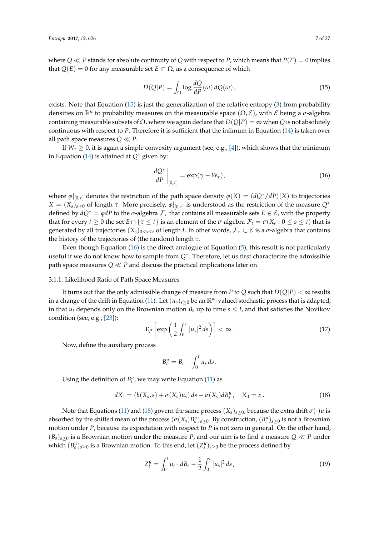where  $Q \ll P$  stands for absolute continuity of *Q* with respect to *P*, which means that  $P(E) = 0$  implies that  $Q(E) = 0$  for any measurable set  $E \subset \Omega$ , as a consequence of which

<span id="page-6-0"></span>
$$
D(Q|P) = \int_{\Omega} \log \frac{dQ}{dP}(\omega) dQ(\omega), \qquad (15)
$$

exists. Note that Equation  $(15)$  is just the generalization of the relative entropy  $(3)$  from probability densities on  $\mathbb{R}^n$  to probability measures on the measurable space  $(\Omega, \mathcal{E})$ , with  $\mathcal E$  being a  $\sigma$ -algebra containing measurable subsets of  $\Omega$ , where we again declare that  $D(Q|P) = \infty$  when *Q* is not absolutely continuous with respect to *P*. Therefore it is sufficient that the infimum in Equation [\(14\)](#page-5-4) is taken over all path space measures  $Q \ll P$ .

If  $W_\tau \geq 0$ , it is again a simple convexity argument (see, e.g., [\[4\]](#page-24-3)), which shows that the minimum in Equation [\(14\)](#page-5-4) is attained at *Q*<sup>∗</sup> given by:

<span id="page-6-1"></span>
$$
\left. \frac{dQ^*}{dP} \right|_{[0,\tau]} = \exp(\gamma - W_\tau),\tag{16}
$$

where  $\varphi|_{[0,\tau]}$  denotes the restriction of the path space density  $\varphi(X) = (dQ^*/dP)(X)$  to trajectories *X* =  $(X_s)_{s\geq0}$  of length *τ*. More precisely,  $\varphi|_{[0,\tau]}$  is understood as the restriction of the measure  $Q^*$ defined by  $dQ^* = \varphi dP$  to the  $\sigma$ -algebra  $\mathcal{F}_{\tau}$  that contains all measurable sets  $E \in \mathcal{E}$ , with the property that for every  $t \ge 0$  the set  $E \cap \{\tau \le t\}$  is an element of the  $\sigma$ -algebra  $\mathcal{F}_t = \sigma(X_s : 0 \le s \le t)$  that is generated by all trajectories  $(X_s)_{0\leq s\leq t}$  of length *t*. In other words,  $\mathcal{F}_\tau \subset \mathcal{E}$  is a  $\sigma$ -algebra that contains the history of the trajectories of (the random) length *τ*.

Even though Equation [\(16\)](#page-6-1) is the direct analogue of Equation [\(5\)](#page-2-2), this result is not particularly useful if we do not know how to sample from *Q*<sup>∗</sup> . Therefore, let us first characterize the admissible path space measures  $Q \ll P$  and discuss the practical implications later on.

#### 3.1.1. Likelihood Ratio of Path Space Measures

It turns out that the only admissible change of measure from *P* to *Q* such that  $D(Q|P) < \infty$  results in a change of the drift in Equation [\(11\)](#page-5-1). Let  $(u_s)_{s>0}$  be an  $\mathbb{R}^m$ -valued stochastic process that is adapted, in that  $u_t$  depends only on the Brownian motion  $B_s$  up to time  $s \leq t$ , and that satisfies the Novikov condition (see, e.g., [\[23\]](#page-25-7)):

<span id="page-6-3"></span>
$$
\mathbf{E}_P\left[\exp\left(\frac{1}{2}\int_0^\tau |u_s|^2\,ds\right)\right] < \infty\,. \tag{17}
$$

Now, define the auxiliary process

$$
B_t^u=B_t-\int_0^t u_s ds.
$$

Using the definition of  $B_t^u$ , we may write Equation [\(11\)](#page-5-1) as

<span id="page-6-2"></span>
$$
dX_s = (b(X_s, s) + \sigma(X_s)u_s) ds + \sigma(X_s) dB_s^u, \quad X_0 = x.
$$
\n(18)

Note that Equations [\(11\)](#page-5-1) and [\(18\)](#page-6-2) govern the same process  $(X_s)_{s>0}$ , because the extra drift  $\sigma(\cdot)u$  is absorbed by the shifted mean of the process  $(\sigma(X_s)B_s^u)_{s\geq 0}$ . By construction,  $(B_s^u)_{s\geq 0}$  is not a Brownian motion under *P*, because its expectation with respect to *P* is not zero in general. On the other hand,  $(B_s)_{s>0}$  is a Brownian motion under the measure *P*, and our aim is to find a measure  $Q \ll P$  under which  $(B_s^u)_{s\geq0}$  is a Brownian motion. To this end, let  $(Z_s^u)_{s\geq0}$  be the process defined by

<span id="page-6-4"></span>
$$
Z_t^u = \int_0^t u_s \cdot dB_s - \frac{1}{2} \int_0^t |u_s|^2 \, ds \,, \tag{19}
$$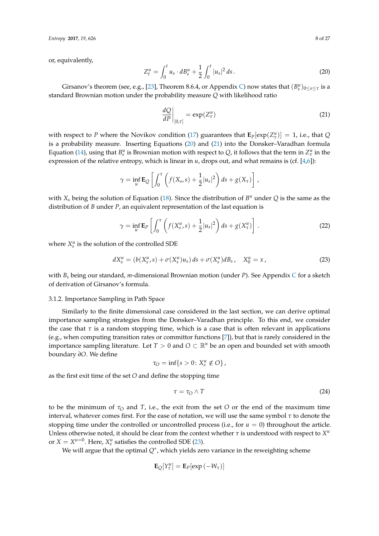or, equivalently,

<span id="page-7-0"></span>
$$
Z_t^u = \int_0^t u_s \cdot dB_s^u + \frac{1}{2} \int_0^t |u_s|^2 \, ds \,. \tag{20}
$$

Girsanov's theorem (see, e.g., [\[23\]](#page-25-7), Theorem 8.6.4, or Appendix [C\)](#page-21-0) now states that  $(B_s^u)_{0 \le s \le \tau}$  is a standard Brownian motion under the probability measure *Q* with likelihood ratio

<span id="page-7-1"></span>
$$
\left. \frac{dQ}{dP} \right|_{[0,\tau]} = \exp(Z_{\tau}^u) \tag{21}
$$

with respect to *P* where the Novikov condition [\(17\)](#page-6-3) guarantees that  $\mathbf{E}_P[\exp(Z_\tau^u)] = 1$ , i.e., that *Q* is a probability measure. Inserting Equations [\(20\)](#page-7-0) and [\(21\)](#page-7-1) into the Donsker–Varadhan formula Equation [\(14\)](#page-5-4), using that  $B_s^u$  is Brownian motion with respect to  $Q$ , it follows that the term in  $Z_\tau^u$  in the expression of the relative entropy, which is linear in *u*, drops out, and what remains is (cf. [\[4,](#page-24-3)[6\]](#page-24-5)):

$$
\gamma = \inf_{u} \mathbf{E}_{Q} \left[ \int_0^{\tau} \left( f(X_s, s) + \frac{1}{2} |u_s|^2 \right) ds + g(X_{\tau}) \right],
$$

with  $X_s$  being the solution of Equation [\(18\)](#page-6-2). Since the distribution of  $B^u$  under  $Q$  is the same as the distribution of *B* under *P*, an equivalent representation of the last equation is

<span id="page-7-3"></span>
$$
\gamma = \inf_{u} \mathbf{E}_P \left[ \int_0^{\tau} \left( f(X_s^u, s) + \frac{1}{2} |u_s|^2 \right) ds + g(X_\tau^u) \right]. \tag{22}
$$

where  $X_s^u$  is the solution of the controlled SDE

<span id="page-7-2"></span>
$$
dX_s^u = (b(X_s^u, s) + \sigma(X_s^u)u_s) ds + \sigma(X_s^u) dB_s, \quad X_0^u = x,
$$
\n(23)

with *B<sup>s</sup>* being our standard, *m*-dimensional Brownian motion (under *P*). See Appendix [C](#page-21-0) for a sketch of derivation of Girsanov's formula.

## 3.1.2. Importance Sampling in Path Space

Similarly to the finite dimensional case considered in the last section, we can derive optimal importance sampling strategies from the Donsker–Varadhan principle. To this end, we consider the case that *τ* is a random stopping time, which is a case that is often relevant in applications (e.g., when computing transition rates or committor functions [\[7\]](#page-24-6)), but that is rarely considered in the importance sampling literature. Let  $T > 0$  and  $O \subset \mathbb{R}^n$  be an open and bounded set with smooth boundary *∂O*. We define

$$
\tau_O = \inf\{s > 0 \colon X_s^u \notin O\},\
$$

as the first exit time of the set *O* and define the stopping time

$$
\tau = \tau_O \wedge T \tag{24}
$$

to be the minimum of  $τ$ <sup>*O*</sup> and *T*, i.e., the exit from the set *O* or the end of the maximum time interval, whatever comes first. For the ease of notation, we will use the same symbol *τ* to denote the stopping time under the controlled or uncontrolled process (i.e., for  $u = 0$ ) throughout the article. Unless otherwise noted, it should be clear from the context whether  $\tau$  is understood with respect to  $X^u$ or  $X = X^{u=0}$ . Here,  $X_s^u$  satisfies the controlled SDE [\(23\)](#page-7-2).

We will argue that the optimal *Q*<sup>∗</sup> , which yields zero variance in the reweighting scheme

$$
\mathbf{E}_{Q}[Y^u_{\tau}] = \mathbf{E}_{P}[\exp(-W_{\tau})]
$$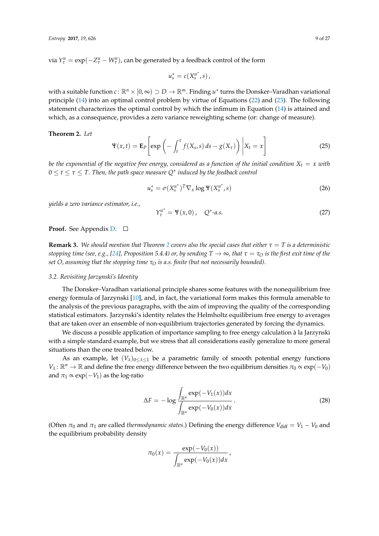via  $Y^u_\tau = \exp(-Z^u_\tau - W^u_\tau)$ , can be generated by a feedback control of the form

$$
u_s^* = c(X_s^{u^*},s),
$$

with a suitable function  $c \colon \mathbb{R}^n \times [0,\infty) \supset D \to \mathbb{R}^m$ . Finding  $u^*$  turns the Donsker–Varadhan variational principle [\(14\)](#page-5-4) into an optimal control problem by virtue of Equations [\(22\)](#page-7-3) and [\(23\)](#page-7-2). The following statement characterizes the optimal control by which the infimum in Equation [\(14\)](#page-5-4) is attained and which, as a consequence, provides a zero variance reweighting scheme (or: change of measure).

## <span id="page-8-0"></span>**Theorem 2.** *Let*

$$
\Psi(x,t) = \mathbf{E}_P \left[ \exp \left( - \int_t^{\tau} f(X_s, s) \, ds - g(X_{\tau}) \right) \, \middle| \, X_t = x \right] \tag{25}
$$

*be the exponential of the negative free energy, considered as a function of the initial condition*  $X_t = x$  *with*  $0 \leq t \leq \tau \leq T.$  Then, the path space measure  $Q^*$  induced by the feedback control

<span id="page-8-1"></span>
$$
u_s^* = \sigma(X_s^{u^*})^T \nabla_x \log \Psi(X_s^{u^*}, s)
$$
\n(26)

*yields a zero variance estimator, i.e.,*

<span id="page-8-2"></span>
$$
Y_{\tau}^{u^*} = \Psi(x,0), \quad Q^* - a.s.
$$
 (27)

#### **Proof.** See Appendix **[D.](#page-23-0)** □

**Remark 3.** We should mention that Theorem [2](#page-8-0) covers also the special cases that either  $\tau = T$  is a deterministic *stopping time (see, e.g., [\[24\]](#page-25-8), Proposition 5.4.4) or, by sending*  $T \to \infty$ *, that*  $\tau = \tau_0$  *is the first exit time of the set O, assuming that the stopping time*  $\tau_{\Omega}$  *is a.s. finite (but not necessarily bounded).* 

## *3.2. Revisiting Jarzynski's Identity*

The Donsker–Varadhan variational principle shares some features with the nonequilibrium free energy formula of Jarzynski [\[10\]](#page-24-9), and, in fact, the variational form makes this formula amenable to the analysis of the previous paragraphs, with the aim of improving the quality of the corresponding statistical estimators. Jarzynski's identity relates the Helmholtz equilibrium free energy to averages that are taken over an ensemble of non-equilibrium trajectories generated by forcing the dynamics.

We discuss a possible application of importance sampling to free energy calculation à la Jarzynski with a simple standard example, but we stress that all considerations easily generalize to more general situations than the one treated below.

As an example, let  $(V_\lambda)_{0 \leq \lambda \leq 1}$  be a parametric family of smooth potential energy functions  $V_\lambda$ :  $\mathbb{R}^n \to \mathbb{R}$  and define the free energy difference between the two equilibrium densities  $\pi_0 \propto \exp(-V_0)$ and  $\pi_1 \propto \exp(-V_1)$  as the log-ratio

$$
\Delta F = -\log \frac{\int_{\mathbb{R}^n} \exp(-V_1(x)) dx}{\int_{\mathbb{R}^n} \exp(-V_0(x)) dx}.
$$
\n(28)

(Often  $\pi_0$  and  $\pi_1$  are called *thermodynamic states*.) Defining the energy difference  $V_{\text{diff}} = V_1 - V_0$  and the equilibrium probability density

$$
\pi_0(x)=\frac{\exp(-V_0(x))}{\int_{\mathbb{R}^n}\exp(-V_0(x))dx},
$$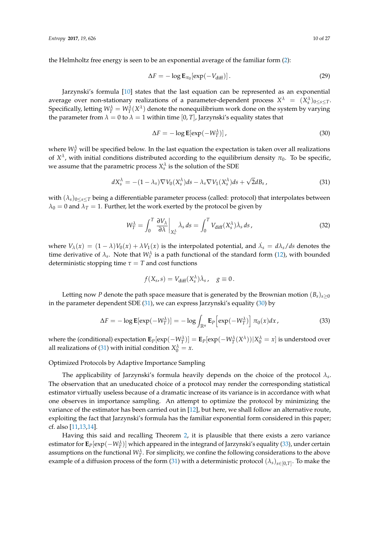the Helmholtz free energy is seen to be an exponential average of the familiar form [\(2\)](#page-2-0):

$$
\Delta F = -\log \mathbf{E}_{\pi_0}[\exp(-V_{\text{diff}})]. \tag{29}
$$

Jarzynski's formula [\[10\]](#page-24-9) states that the last equation can be represented as an exponential average over non-stationary realizations of a parameter-dependent process  $X^{\lambda} = (X^{\lambda}_s)_{0 \leq s \leq T}$ . Specifically, letting  $W_T^{\lambda} = W_T^{\lambda}(X^{\lambda})$  denote the nonequilibrium work done on the system by varying the parameter from  $\lambda = 0$  to  $\lambda = 1$  within time [0, *T*], Jarzynski's equality states that

<span id="page-9-1"></span>
$$
\Delta F = -\log \mathbf{E}[\exp(-W_T^{\lambda})],\tag{30}
$$

where  $W_T^{\lambda}$  will be specified below. In the last equation the expectation is taken over all realizations of  $X^{\lambda}$ , with initial conditions distributed according to the equilibrium density  $\pi_0$ . To be specific, we assume that the parametric process  $X_s^{\lambda}$  is the solution of the SDE

<span id="page-9-0"></span>
$$
dX_s^{\lambda} = -(1 - \lambda_s) \nabla V_0(X_s^{\lambda}) ds - \lambda_s \nabla V_1(X_s^{\lambda}) ds + \sqrt{2} dB_s,
$$
\n(31)

with  $(\lambda_s)_{0\leq s\leq T}$  being a differentiable parameter process (called: protocol) that interpolates between  $\lambda_0 = 0$  and  $\lambda_T = 1$ . Further, let the work exerted by the protocol be given by

<span id="page-9-3"></span>
$$
W_T^{\lambda} = \int_0^T \left. \frac{\partial V_{\lambda}}{\partial \lambda} \right|_{X_s^{\lambda}} \dot{\lambda}_s \, ds = \int_0^T V_{\text{diff}}(X_s^{\lambda}) \dot{\lambda}_s \, ds \,, \tag{32}
$$

where  $V_\lambda(x) = (1 - \lambda)V_0(x) + \lambda V_1(x)$  is the interpolated potential, and  $\lambda_s = d\lambda_s/ds$  denotes the time derivative of  $\lambda_s$ . Note that  $W_\tau^\lambda$  is a path functional of the standard form [\(12\)](#page-5-2), with bounded deterministic stopping time  $\tau = T$  and cost functions

$$
f(X_s, s) = V_{\text{diff}}(X_s^{\lambda})\dot{\lambda}_s, \quad g \equiv 0.
$$

Letting now *P* denote the path space measure that is generated by the Brownian motion  $(B_s)_{s>0}$ in the parameter dependent SDE [\(31\)](#page-9-0), we can express Jarzynski's equality [\(30\)](#page-9-1) by

<span id="page-9-2"></span>
$$
\Delta F = -\log \mathbf{E}[\exp(-W_T^{\lambda})] = -\log \int_{\mathbb{R}^n} \mathbf{E}_P[\exp(-W_T^{\lambda})] \pi_0(x) dx, \qquad (33)
$$

where the (conditional) expectation  $E_P[\exp(-W_T^{\lambda})] = E_P[\exp(-W_T^{\lambda}(X^{\lambda}))|X_0^{\lambda} = x]$  is understood over all realizations of [\(31\)](#page-9-0) with initial condition  $X_0^{\lambda} = x$ .

## Optimized Protocols by Adaptive Importance Sampling

The applicability of Jarzynski's formula heavily depends on the choice of the protocol *λ<sup>s</sup>* . The observation that an uneducated choice of a protocol may render the corresponding statistical estimator virtually useless because of a dramatic increase of its variance is in accordance with what one observes in importance sampling. An attempt to optimize the protocol by minimizing the variance of the estimator has been carried out in [\[12\]](#page-24-12), but here, we shall follow an alternative route, exploiting the fact that Jarzynski's formula has the familiar exponential form considered in this paper; cf. also [\[11,](#page-24-10)[13,](#page-24-13)[14\]](#page-24-11).

Having this said and recalling Theorem [2,](#page-8-0) it is plausible that there exists a zero variance estimator for  ${\bf E}_P[\exp(-W_T^{\lambda})]$  which appeared in the integrand of Jarzynski's equality [\(33\)](#page-9-2), under certain assumptions on the functional  $W_T^{\lambda}$ . For simplicity, we confine the following considerations to the above example of a diffusion process of the form [\(31\)](#page-9-0) with a deterministic protocol  $(\lambda_s)_{s\in[0,T]}$ . To make the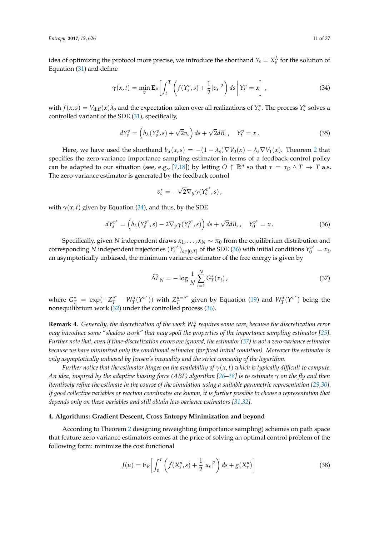*Entropy* **2017**, *19*, 626 11 of 27

idea of optimizing the protocol more precise, we introduce the shorthand  $Y_s = X_s^{\lambda}$  for the solution of Equation [\(31\)](#page-9-0) and define

<span id="page-10-1"></span>
$$
\gamma(x,t) = \min_{v} \mathbf{E}_{P} \left[ \int_{t}^{T} \left( f(Y_{s}^{v}, s) + \frac{1}{2} |v_{s}|^{2} \right) ds \middle| Y_{t}^{v} = x \right], \tag{34}
$$

with  $f(x,s) = V_{diff}(x)\lambda_s$  and the expectation taken over all realizations of  $Y_s^v$ . The process  $Y_s^v$  solves a controlled variant of the SDE [\(31\)](#page-9-0), specifically,

$$
dY_s^v = \left(b_\lambda(Y_s^v, s) + \sqrt{2}v_s\right)ds + \sqrt{2}dB_s, \quad Y_t^v = x. \tag{35}
$$

Here, we have used the shorthand  $b_\lambda(x,s) = -(1-\lambda_s)\nabla V_0(x) - \lambda_s \nabla V_1(x)$ . Theorem [2](#page-8-0) that specifies the zero-variance importance sampling estimator in terms of a feedback control policy can be adapted to our situation (see, e.g., [\[7](#page-24-6)[,18\]](#page-25-2)) by letting  $O \uparrow \mathbb{R}^n$  so that  $\tau = \tau_O \wedge T \to T$  a.s. The zero-variance estimator is generated by the feedback control

$$
v_s^* = -\sqrt{2} \nabla_y \gamma(Y_s^{v^*}, s) \,,
$$

with  $\gamma(x, t)$  given by Equation [\(34\)](#page-10-1), and thus, by the SDE

<span id="page-10-2"></span>
$$
dY_s^{v^*} = \left(b_{\lambda}(Y_s^{v^*}, s) - 2\nabla_y \gamma(Y_s^{v^*}, s)\right) ds + \sqrt{2} dB_s, \quad Y_0^{v^*} = x. \tag{36}
$$

Specifically, given *N* independent draws  $x_1, \ldots, x_N \sim \pi_0$  from the equilibrium distribution and corresponding *N* independent trajectories (*Y v* ∗  $\sum_{s}^{v^*}$ )<sub>*s*∈[0,*T*] of the SDE [\(36\)](#page-10-2) with initial conditions  $Y_0^{v^*} = x_i$ ,</sub> an asymptotically unbiased, the minimum variance estimator of the free energy is given by

<span id="page-10-3"></span>
$$
\widehat{\Delta F}_N = -\log \frac{1}{N} \sum_{i=1}^N G_T^*(x_i),\tag{37}
$$

where  $G_T^* = \exp(-Z_T^{v^*} - W_T^{\lambda}(\Upsilon^{v^*}))$  with  $Z_T^{u=v^*}$  $T^{u=v^*}$  given by Equation [\(19\)](#page-6-4) and  $W^{\lambda}_T(Y^{v^*})$  being the nonequilibrium work [\(32\)](#page-9-3) under the controlled process [\(36\)](#page-10-2).

**Remark 4.** Generally, the discretization of the work  $W_T^{\lambda}$  requires some care, because the discretization error *may introduce some "shadow work" that may spoil the properties of the importance sampling estimator [\[25\]](#page-25-9)*. *Further note that, even if time-discretization errors are ignored, the estimator [\(37\)](#page-10-3) is not a zero-variance estimator because we have minimized only the conditional estimator (for fixed initial condition). Moreover the estimator is only asymptotically unbiased by Jensen's inequality and the strict concavity of the logarithm.*

*Further notice that the estimator hinges on the availability of*  $\gamma(x, t)$  *which is typically difficult to compute. An idea, inspired by the adaptive biasing force (ABF) algorithm [\[26–](#page-25-10)[28\]](#page-25-11) is to estimate γ on the fly and then iteratively refine the estimate in the course of the simulation using a suitable parametric representation [\[29,](#page-25-12)[30\]](#page-25-13)*. *If good collective variables or reaction coordinates are known, it is further possible to choose a representation that depends only on these variables and still obtain low variance estimators [\[31](#page-25-14)[,32\]](#page-25-15).* 

## <span id="page-10-0"></span>**4. Algorithms: Gradient Descent, Cross Entropy Minimization and beyond**

According to Theorem [2](#page-8-0) designing reweighting (importance sampling) schemes on path space that feature zero variance estimators comes at the price of solving an optimal control problem of the following form: minimize the cost functional

<span id="page-10-4"></span>
$$
J(u) = \mathbf{E}_P \left[ \int_0^{\tau} \left( f(X_s^u, s) + \frac{1}{2} |u_s|^2 \right) ds + g(X_\tau^u) \right]
$$
(38)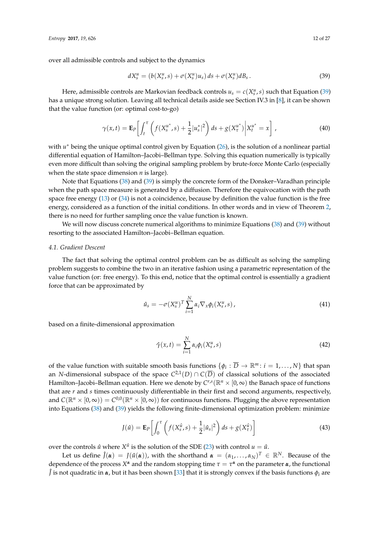over all admissible controls and subject to the dynamics

<span id="page-11-0"></span>
$$
dX_s^u = (b(X_s^u, s) + \sigma(X_s^u)u_s) ds + \sigma(X_s^u) dB_s.
$$
\n(39)

Here, admissible controls are Markovian feedback controls  $u_s = c(X_s^u, s)$  such that Equation [\(39\)](#page-11-0) has a unique strong solution. Leaving all technical details aside see Section IV.3 in [\[8\]](#page-24-7), it can be shown that the value function (or: optimal cost-to-go)

$$
\gamma(x,t) = \mathbf{E}_P \left[ \int_t^{\tau} \left( f(X_s^{u^*}, s) + \frac{1}{2} |u_s^*|^2 \right) ds + g(X_\tau^{u^*}) \middle| X_t^{u^*} = x \right], \tag{40}
$$

with  $u^*$  being the unique optimal control given by Equation [\(26\)](#page-8-1), is the solution of a nonlinear partial differential equation of Hamilton–Jacobi–Bellman type. Solving this equation numerically is typically even more difficult than solving the original sampling problem by brute-force Monte Carlo (especially when the state space dimension *n* is large).

Note that Equations [\(38\)](#page-10-4) and [\(39\)](#page-11-0) is simply the concrete form of the Donsker–Varadhan principle when the path space measure is generated by a diffusion. Therefore the equivocation with the path space free energy [\(13\)](#page-5-3) or [\(34\)](#page-10-1) is not a coincidence, because by definition the value function is the free energy, considered as a function of the initial conditions. In other words and in view of Theorem [2,](#page-8-0) there is no need for further sampling once the value function is known.

We will now discuss concrete numerical algorithms to minimize Equations [\(38\)](#page-10-4) and [\(39\)](#page-11-0) without resorting to the associated Hamilton–Jacobi–Bellman equation.

## *4.1. Gradient Descent*

The fact that solving the optimal control problem can be as difficult as solving the sampling problem suggests to combine the two in an iterative fashion using a parametric representation of the value function (or: free energy). To this end, notice that the optimal control is essentially a gradient force that can be approximated by

$$
\hat{u}_s = -\sigma(X_s^u)^T \sum_{i=1}^N \alpha_i \nabla_x \phi_i(X_s^u, s) , \qquad (41)
$$

based on a finite-dimensional approximation

<span id="page-11-1"></span>
$$
\hat{\gamma}(x,t) = \sum_{i=1}^{N} \alpha_i \phi_i(X_s^u, s)
$$
\n(42)

of the value function with suitable smooth basis functions  $\{\phi_i : \overline{D} \to \mathbb{R}^m : i = 1, ..., N\}$  that span an *N*-dimensional subspace of the space *C* 2,1(*D*) ∩ *C*(*D*) of classical solutions of the associated Hamilton–Jacobi–Bellman equation. Here we denote by  $C^{r,s}(\mathbb{R}^n\times[0,\infty)$  the Banach space of functions that are *r* and *s* times continuously differentiable in their first and second arguments, respectively, and  $C(\mathbb{R}^n \times [0,\infty)) = C^{0,0}(\mathbb{R}^n \times [0,\infty))$  for continuous functions. Plugging the above representation into Equations [\(38\)](#page-10-4) and [\(39\)](#page-11-0) yields the following finite-dimensional optimization problem: minimize

$$
J(\hat{u}) = \mathbf{E}_{P} \left[ \int_{0}^{\tau} \left( f(X_{s}^{\hat{u}}, s) + \frac{1}{2} |\hat{u}_{s}|^{2} \right) ds + g(X_{\tau}^{\hat{u}}) \right]
$$
(43)

over the controls  $\hat{u}$  where  $X^{\hat{u}}$  is the solution of the SDE [\(23\)](#page-7-2) with control  $u = \hat{u}$ .

Let us define  $\hat{J}(\alpha) = J(\hat{u}(\alpha))$ , with the shorthand  $\alpha = (\alpha_1, \ldots, \alpha_N)^T \in \mathbb{R}^N$ . Because of the dependence of the process  $X^{\alpha}$  and the random stopping time  $\tau = \tau^{\alpha}$  on the parameter  $\alpha$ , the functional  $\hat{J}$  is not quadratic in  $\alpha$ , but it has been shown [\[33\]](#page-25-16) that it is strongly convex if the basis functions  $\phi_i$  are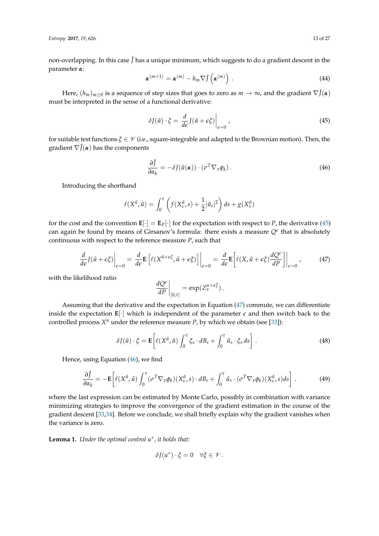non-overlapping. In this case  $\hat{J}$  has a unique minimum, which suggests to do a gradient descent in the parameter *α*:

$$
\boldsymbol{\alpha}^{(m+1)} = \boldsymbol{\alpha}^{(m)} - h_m \nabla \hat{J} \left( \boldsymbol{\alpha}^{(m)} \right) . \tag{44}
$$

Here,  $(h_m)_{m\geq 0}$  is a sequence of step sizes that goes to zero as  $m \to \infty$ , and the gradient  $\nabla \hat{J}(\alpha)$ must be interpreted in the sense of a functional derivative:

<span id="page-12-0"></span>
$$
\delta J(\hat{u}) \cdot \xi = \left. \frac{d}{d\epsilon} J(\hat{u} + \epsilon \xi) \right|_{\epsilon=0},\tag{45}
$$

for suitable test functions *ξ* ∈ V (i.e., square-integrable and adapted to the Brownian motion). Then, the gradient  $\nabla \hat{J}(\alpha)$  has the components

<span id="page-12-2"></span>
$$
\frac{\partial \hat{f}}{\partial \alpha_k} = -\delta J(\hat{u}(\boldsymbol{\alpha})) \cdot (\sigma^T \nabla_x \phi_k). \tag{46}
$$

Introducing the shorthand

$$
\ell(X^{\hat{u}}, \hat{u}) = \int_0^{\tau} \left( f(X_s^{\hat{u}}, s) + \frac{1}{2} |\hat{u}_s|^2 \right) ds + g(X_\tau^{\hat{u}})
$$

for the cost and the convention  $\mathbf{E}[\cdot] = \mathbf{E}_P[\cdot]$  for the expectation with respect to *P*, the derivative [\(45\)](#page-12-0) can again be found by means of Girsanov's formula: there exists a measure  $Q^{\epsilon}$  that is absolutely continuous with respect to the reference measure *P*, such that

<span id="page-12-1"></span>
$$
\frac{d}{d\epsilon} J(\hat{u} + \epsilon \xi) \Big|_{\epsilon=0} = \frac{d}{d\epsilon} \mathbf{E} \left[ \ell (X^{\hat{u} + \epsilon \xi}, \hat{u} + \epsilon \xi) \right] \Big|_{\epsilon=0} = \frac{d}{d\epsilon} \mathbf{E} \left[ \ell (X, \hat{u} + \epsilon \xi) \frac{dQ^{\epsilon}}{dP} \right] \Big|_{\epsilon=0},\tag{47}
$$

with the likelihood ratio

$$
\left. \frac{dQ^{\epsilon}}{dP} \right|_{[0,\tau]} = \exp(Z_{\tau}^{u+\epsilon\xi}).
$$

Assuming that the derivative and the expectation in Equation [\(47\)](#page-12-1) commute, we can differentiate inside the expectation  $\mathbf{E}[\cdot]$  which is independent of the parameter  $\epsilon$  and then switch back to the controlled process  $X^u$  under the reference measure  $P$ , by which we obtain (see [\[33\]](#page-25-16)):

<span id="page-12-3"></span>
$$
\delta J(\hat{u}) \cdot \xi = \mathbf{E} \bigg[ \ell(X^{\hat{u}}, \hat{u}) \int_0^{\tau} \xi_s \cdot dB_s + \int_0^{\tau} \hat{u}_s \cdot \xi_s ds \bigg] . \tag{48}
$$

Hence, using Equation [\(46\)](#page-12-2), we find

$$
\frac{\partial \hat{f}}{\partial \alpha_k} = -\mathbf{E} \bigg[ \ell(X^{\hat{u}}, \hat{u}) \int_0^{\tau} (\sigma^T \nabla_x \phi_k)(X^{\hat{u}}_s, s) \cdot dB_s + \int_0^{\tau} \hat{u}_s \cdot (\sigma^T \nabla_x \phi_k)(X^{\hat{u}}_s, s) ds \bigg] . \tag{49}
$$

where the last expression can be estimated by Monte Carlo, possibly in combination with variance minimizing strategies to improve the convergence of the gradient estimation in the course of the gradient descent [\[33](#page-25-16)[,34\]](#page-25-17). Before we conclude, we shall briefly explain why the gradient vanishes when the variance is zero.

**Lemma 1.** *Under the optimal control u*<sup>∗</sup> *, it holds that:*

$$
\delta J(u^*)\cdot\xi=0\quad\forall\xi\in\mathscr V\,.
$$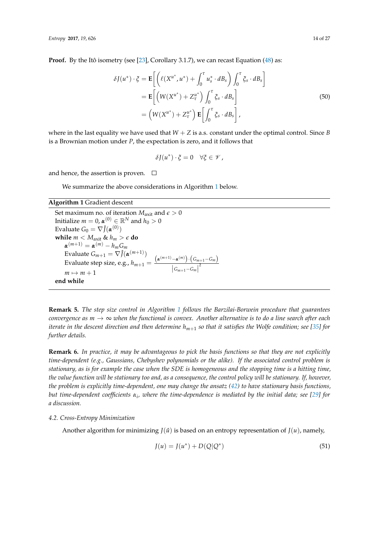**Proof.** By the Itô isometry (see [\[23\]](#page-25-7), Corollary 3.1.7), we can recast Equation [\(48\)](#page-12-3) as:

$$
\delta J(u^*) \cdot \xi = \mathbf{E} \left[ \left( \ell(X^{u^*}, u^*) + \int_0^\tau u_s^* \cdot dB_s \right) \int_0^\tau \xi_s \cdot dB_s \right]
$$
  
\n
$$
= \mathbf{E} \left[ \left( W(X^{u^*}) + Z^{u^*}_\tau \right) \int_0^\tau \xi_s \cdot dB_s \right]
$$
  
\n
$$
= \left( W(X^{u^*}) + Z^{u^*}_\tau \right) \mathbf{E} \left[ \int_0^\tau \xi_s \cdot dB_s \right],
$$
\n(50)

where in the last equality we have used that  $W + Z$  is a.s. constant under the optimal control. Since *B* is a Brownian motion under *P*, the expectation is zero, and it follows that

$$
\delta J(u^*)\cdot \xi=0 \quad \forall \xi\in \mathscr{V},
$$

and hence, the assertion is proven.  $\Box$ 

We summarize the above considerations in Algorithm [1](#page-13-0) below.

# <span id="page-13-0"></span>**Algorithm 1** Gradient descent

Set maximum no. of iteration  $M_{\text{axit}}$  and  $\epsilon > 0$ Initialize  $m=0$ ,  $\pmb{\alpha}^{(0)}\in \mathbb{R}^N$  and  $h_0>0$ Evaluate  $G_0 = \nabla \hat{J}(\boldsymbol{\alpha}^{(0)})$ **while**  $m < M_{\text{axit}}$  &  $h_m > \epsilon$  do  $\alpha^{(m+1)} = \alpha^{(m)} - h_m G_m$ Evaluate  $G_{m+1} = \nabla \hat{J}(\boldsymbol{\alpha}^{(m+1)})$ Evaluate step size, e.g.,  $h_{m+1} = \frac{(\alpha^{(m+1)} - \alpha^{(m)}) \cdot (G_{m+1} - G_m)}{1 - \alpha^{2}}$  $|G_{m+1}-G_m|^2$  $m \mapsto m + 1$ **end while**

**Remark 5.** *The step size control in Algorithm [1](#page-13-0) follows the Barzilai-Borwein procedure that guarantees convergence as*  $m \to \infty$  *when the functional is convex. Another alternative is to do a line search after each iterate in the descent direction and then determine hm*+<sup>1</sup> *so that it satisfies the Wolfe condition; see [\[35\]](#page-25-18) for further details.*

**Remark 6.** *In practice, it may be advantageous to pick the basis functions so that they are not explicitly time-dependent (e.g., Gaussians, Chebyshev polynomials or the alike). If the associated control problem is stationary, as is for example the case when the SDE is homogeneous and the stopping time is a hitting time, the value function will be stationary too and, as a consequence, the control policy will be stationary. If, however, the problem is explicitly time-dependent, one may change the ansatz [\(42\)](#page-11-1) to have stationary basis functions, but time-dependent coefficients α<sup>i</sup> , where the time-dependence is mediated by the initial data; see [\[29\]](#page-25-12) for a discussion.*

## <span id="page-13-2"></span>*4.2. Cross-Entropy Minimization*

Another algorithm for minimizing  $J(\hat{u})$  is based on an entropy representation of  $J(u)$ , namely,

<span id="page-13-1"></span>
$$
J(u) = J(u^*) + D(Q|Q^*)
$$
\n(51)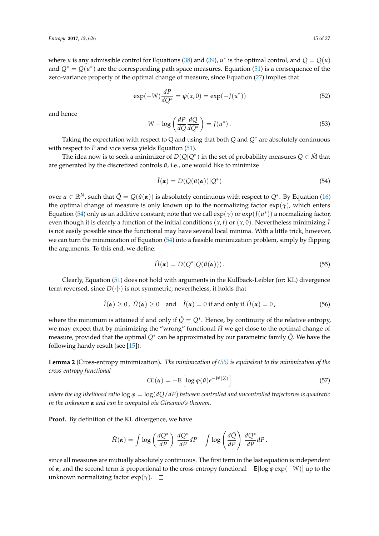where *u* is any admissible control for Equations [\(38\)](#page-10-4) and [\(39\)](#page-11-0),  $u^*$  is the optimal control, and  $Q = Q(u)$ and  $Q^* = Q(u^*)$  are the corresponding path space measures. Equation [\(51\)](#page-13-1) is a consequence of the zero-variance property of the optimal change of measure, since Equation [\(27\)](#page-8-2) implies that

$$
\exp(-W)\frac{dP}{dQ^*} = \psi(x,0) = \exp(-J(u^*))
$$
\n(52)

and hence

$$
W - \log\left(\frac{dP}{dQ}\frac{dQ}{dQ^*}\right) = J(u^*).
$$
\n(53)

Taking the expectation with respect to Q and using that both *Q* and *Q*<sup>∗</sup> are absolutely continuous with respect to *P* and vice versa yields Equation [\(51\)](#page-13-1).

The idea now is to seek a minimizer of  $D(Q|Q^*)$  in the set of probability measures  $Q\in\hat{M}$  that are generated by the discretized controls  $\hat{u}$ , i.e., one would like to minimize

<span id="page-14-0"></span>
$$
\hat{I}(\alpha) = D(Q(\hat{u}(\alpha))|Q^*)
$$
\n(54)

 $o$ ver α ∈ ℝ<sup>N</sup>, such that  $\hat{Q} = Q(\hat{u}(\alpha))$  is absolutely continuous with respect to  $Q^*$ . By Equation [\(16\)](#page-6-1) the optimal change of measure is only known up to the normalizing factor  $\exp(\gamma)$ , which enters Equation [\(54\)](#page-14-0) only as an additive constant; note that we call  $exp(\gamma)$  or  $exp(J(u^*))$  a normalizing factor, even though it is clearly a function of the initial conditions  $(x, t)$  or  $(x, 0)$ . Nevertheless minimizing  $\hat{I}$ is not easily possible since the functional may have several local minima. With a little trick, however, we can turn the minimization of Equation [\(54\)](#page-14-0) into a feasible minimization problem, simply by flipping the arguments. To this end, we define:

<span id="page-14-1"></span>
$$
\hat{H}(\alpha) = D(Q^* | Q(\hat{u}(\alpha))) \,. \tag{55}
$$

Clearly, Equation [\(51\)](#page-13-1) does not hold with arguments in the Kullback-Leibler (or: KL) divergence term reversed, since  $D(\cdot|\cdot)$  is not symmetric; nevertheless, it holds that

$$
\hat{I}(\alpha) \ge 0, \ \hat{H}(\alpha) \ge 0 \quad \text{and} \quad \hat{I}(\alpha) = 0 \ \text{if and only if} \ \hat{H}(\alpha) = 0,
$$
 (56)

where the minimum is attained if and only if  $\hat{Q} = Q^*$ . Hence, by continuity of the relative entropy, we may expect that by minimizing the "wrong" functional  $\hat{H}$  we get close to the optimal change of measure, provided that the optimal *Q*<sup>∗</sup> can be approximated by our parametric family *Q*ˆ. We have the following handy result (see [\[15\]](#page-25-0)).

**Lemma 2** (Cross-entropy minimization)**.** *The minimization of [\(55\)](#page-14-1) is equivalent to the minimization of the cross-entropy functional*

$$
CE(\boldsymbol{\alpha}) = -\mathbf{E}\left[\log \varphi(\hat{u})e^{-W(X)}\right]
$$
\n(57)

*where the log likelihood ratio*  $\log \varphi = \log(dQ/dP)$  *between controlled and uncontrolled trajectories is quadratic in the unknown α and can be computed via Girsanov's theorem.*

**Proof.** By definition of the KL divergence, we have

$$
\hat{H}(\pmb{\alpha}) = \int \log \left(\frac{dQ^*}{dP}\right) \, \frac{dQ^*}{dP} dP - \int \log \left(\frac{d\hat{Q}}{dP}\right) \, \frac{dQ^*}{dP} dP,
$$

since all measures are mutually absolutely continuous. The first term in the last equation is independent of *α*, and the second term is proportional to the cross-entropy functional −**E**[log *ϕ* exp(−*W*)] up to the unknown normalizing factor  $exp(\gamma)$ .  $\Box$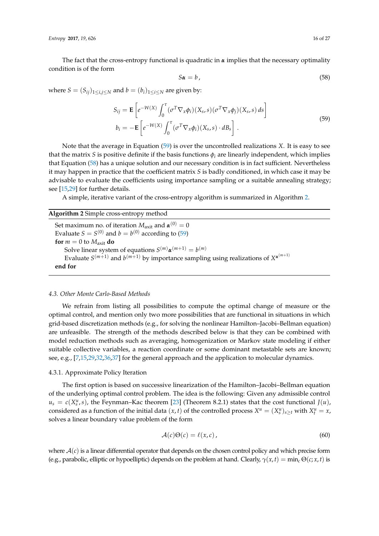*Entropy* **2017**, *19*, 626 16 of 27

The fact that the cross-entropy functional is quadratic in  $\alpha$  implies that the necessary optimality condition is of the form

<span id="page-15-1"></span>
$$
S\alpha = b \tag{58}
$$

where  $S = (S_{ij})_{1 \le i,j \le N}$  and  $b = (b_i)_{1 \le i \le N}$  are given by:

<span id="page-15-0"></span>
$$
S_{ij} = \mathbf{E} \left[ e^{-W(X)} \int_0^{\tau} (\sigma^T \nabla_x \phi_i)(X_s, s) (\sigma^T \nabla_x \phi_j)(X_s, s) ds \right]
$$
  
\n
$$
b_i = -\mathbf{E} \left[ e^{-W(X)} \int_0^{\tau} (\sigma^T \nabla_x \phi_i)(X_s, s) \cdot dB_s \right].
$$
\n(59)

Note that the average in Equation [\(59\)](#page-15-0) is over the uncontrolled realizations *X*. It is easy to see that the matrix *S* is positive definite if the basis functions  $\phi_i$  are linearly independent, which implies that Equation [\(58\)](#page-15-1) has a unique solution and our necessary condition is in fact sufficient. Nevertheless it may happen in practice that the coefficient matrix *S* is badly conditioned, in which case it may be advisable to evaluate the coefficients using importance sampling or a suitable annealing strategy; see [\[15,](#page-25-0)[29\]](#page-25-12) for further details.

A simple, iterative variant of the cross-entropy algorithm is summarized in Algorithm [2.](#page-15-2)

## <span id="page-15-2"></span>**Algorithm 2** Simple cross-entropy method

Set maximum no. of iteration  $M_{\text{axit}}$  and  $\pmb{\alpha}^{(0)} = 0$ Evaluate  $S = S^{(0)}$  and  $b = b^{(0)}$  according to [\(59\)](#page-15-0) **for**  $m = 0$  to  $M_{\text{axit}}$  **do** Solve linear system of equations  $S^{(m)}$ α $^{(m+1)} = b^{(m)}$ Evaluate  $S^{(m+1)}$  and  $b^{(m+1)}$  by importance sampling using realizations of  $X^{\alpha^{(m+1)}}$ **end for**

## *4.3. Other Monte Carlo-Based Methods*

We refrain from listing all possibilities to compute the optimal change of measure or the optimal control, and mention only two more possibilities that are functional in situations in which grid-based discretization methods (e.g., for solving the nonlinear Hamilton–Jacobi–Bellman equation) are unfeasible. The strength of the methods described below is that they can be combined with model reduction methods such as averaging, homogenization or Markov state modeling if either suitable collective variables, a reaction coordinate or some dominant metastable sets are known; see, e.g., [\[7](#page-24-6)[,15](#page-25-0)[,29](#page-25-12)[,32,](#page-25-15)[36,](#page-25-19)[37\]](#page-25-20) for the general approach and the application to molecular dynamics.

## 4.3.1. Approximate Policy Iteration

The first option is based on successive linearization of the Hamilton–Jacobi–Bellman equation of the underlying optimal control problem. The idea is the following: Given any admissible control  $u_s = c(X_s^u, s)$ , the Feynman–Kac theorem [\[23\]](#page-25-7) (Theorem 8.2.1) states that the cost functional *J*(*u*), considered as a function of the initial data  $(x, t)$  of the controlled process  $X^u = (X^u_s)_{s \ge t}$  with  $X^u_t = x$ , solves a linear boundary value problem of the form

<span id="page-15-3"></span>
$$
\mathcal{A}(c)\Theta(c) = \ell(x,c),\tag{60}
$$

where  $A(c)$  is a linear differential operator that depends on the chosen control policy and which precise form (e.g., parabolic, elliptic or hypoelliptic) depends on the problem at hand. Clearly,  $\gamma(x,t) = \min_c \Theta(c; x, t)$  is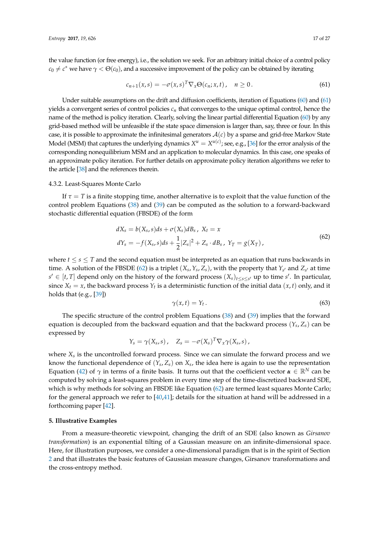the value function (or free energy), i.e., the solution we seek. For an arbitrary initial choice of a control policy  $c_0 \neq c^*$  we have  $\gamma < \Theta(c_0)$ , and a successive improvement of the policy can be obtained by iterating

<span id="page-16-1"></span>
$$
c_{n+1}(x,s) = -\sigma(x,s)^T \nabla_x \Theta(c_n; x,t), \quad n \ge 0.
$$
 (61)

Under suitable assumptions on the drift and diffusion coefficients, iteration of Equations [\(60\)](#page-15-3) and [\(61\)](#page-16-1) yields a convergent series of control policies *c<sup>n</sup>* that converges to the unique optimal control, hence the name of the method is policy iteration. Clearly, solving the linear partial differential Equation [\(60\)](#page-15-3) by any grid-based method will be unfeasible if the state space dimension is larger than, say, three or four. In this case, it is possible to approximate the infinitesimal generators  $A(c)$  by a sparse and grid-free Markov State Model (MSM) that captures the underlying dynamics  $X^u=X^{u(c)}$ ; see, e.g., [\[36\]](#page-25-19) for the error analysis of the corresponding nonequilibrium MSM and an application to molecular dynamics. In this case, one speaks of an approximate policy iteration. For further details on approximate policy iteration algorithms we refer to the article [\[38\]](#page-25-21) and the references therein.

## 4.3.2. Least-Squares Monte Carlo

If  $\tau = T$  is a finite stopping time, another alternative is to exploit that the value function of the control problem Equations [\(38\)](#page-10-4) and [\(39\)](#page-11-0) can be computed as the solution to a forward-backward stochastic differential equation (FBSDE) of the form

<span id="page-16-2"></span>
$$
dX_s = b(X_s, s)ds + \sigma(X_s)dB_s, \ X_t = x
$$
  
\n
$$
dY_s = -f(X_s, s)ds + \frac{1}{2}|Z_s|^2 + Z_s \cdot dB_s, \ Y_T = g(X_T),
$$
\n(62)

where  $t \le s \le T$  and the second equation must be interpreted as an equation that runs backwards in time. A solution of the FBSDE [\(62\)](#page-16-2) is a triplet  $(X_s, Y_s, Z_s)$ , with the property that  $Y_{s'}$  and  $Z_{s'}$  at time  $s' \in [t, T]$  depend only on the history of the forward process  $(X_s)_{t \le s \le s'}$  up to time *s*'. In particular, since  $X_t = x$ , the backward process  $Y_t$  is a deterministic function of the initial data  $(x, t)$  only, and it holds that (e.g., [\[39\]](#page-25-22))

$$
\gamma(x,t) = Y_t. \tag{63}
$$

The specific structure of the control problem Equations [\(38\)](#page-10-4) and [\(39\)](#page-11-0) implies that the forward equation is decoupled from the backward equation and that the backward process (*Y<sup>s</sup>* , *Zs*) can be expressed by

$$
Y_s = \gamma(X_s, s), \quad Z_s = -\sigma(X_s)^T \nabla_x \gamma(X_s, s),
$$

where *X<sup>s</sup>* is the uncontrolled forward process. Since we can simulate the forward process and we know the functional dependence of (*Y<sup>s</sup>* , *Zs*) on *X<sup>s</sup>* , the idea here is again to use the representation Equation [\(42\)](#page-11-1) of  $\gamma$  in terms of a finite basis. It turns out that the coefficient vector  $\alpha \in \mathbb{R}^N$  can be computed by solving a least-squares problem in every time step of the time-discretized backward SDE, which is why methods for solving an FBSDE like Equation [\(62\)](#page-16-2) are termed least squares Monte Carlo; for the general approach we refer to [\[40](#page-25-23)[,41\]](#page-25-24); details for the situation at hand will be addressed in a forthcoming paper [\[42\]](#page-26-0).

## <span id="page-16-0"></span>**5. Illustrative Examples**

From a measure-theoretic viewpoint, changing the drift of an SDE (also known as *Girsanov transformation*) is an exponential tilting of a Gaussian measure on an infinite-dimensional space. Here, for illustration purposes, we consider a one-dimensional paradigm that is in the spirit of Section [2](#page-1-0) and that illustrates the basic features of Gaussian measure changes, Girsanov transformations and the cross-entropy method.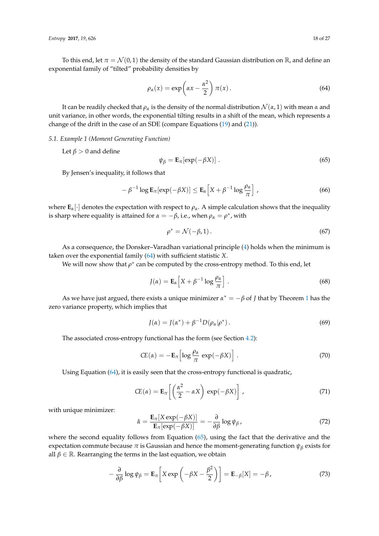To this end, let  $\pi = \mathcal{N}(0, 1)$  the density of the standard Gaussian distribution on R, and define an exponential family of "tilted" probability densities by

<span id="page-17-0"></span>
$$
\rho_{\alpha}(x) = \exp\left(\alpha x - \frac{\alpha^2}{2}\right) \pi(x). \tag{64}
$$

It can be readily checked that  $\rho_\alpha$  is the density of the normal distribution  $\mathcal{N}(\alpha, 1)$  with mean  $\alpha$  and unit variance, in other words, the exponential tilting results in a shift of the mean, which represents a change of the drift in the case of an SDE (compare Equations [\(19\)](#page-6-4) and [\(21\)](#page-7-1)).

#### *5.1. Example 1 (Moment Generating Function)*

Let  $\beta > 0$  and define

<span id="page-17-1"></span>
$$
\psi_{\beta} = \mathbf{E}_{\pi}[\exp(-\beta X)] \tag{65}
$$

By Jensen's inequality, it follows that

<span id="page-17-3"></span>
$$
-\beta^{-1}\log \mathbf{E}_{\pi}[\exp(-\beta X)] \le \mathbf{E}_{\alpha}\Big[X+\beta^{-1}\log\frac{\rho_{\alpha}}{\pi}\Big] \tag{66}
$$

where  $\mathbf{E}_{\alpha}[\cdot]$  denotes the expectation with respect to  $\rho_{\alpha}$ . A simple calculation shows that the inequality is sharp where equality is attained for  $\alpha = -\beta$ , i.e., when  $\rho_{\alpha} = \rho^*$ , with

$$
\rho^* = \mathcal{N}(-\beta, 1). \tag{67}
$$

As a consequence, the Donsker–Varadhan variational principle [\(4\)](#page-2-1) holds when the minimum is taken over the exponential family [\(64\)](#page-17-0) with sufficient statistic *X*.

We will now show that  $\rho^*$  can be computed by the cross-entropy method. To this end, let

<span id="page-17-2"></span>
$$
J(\alpha) = \mathbf{E}_{\alpha} \left[ X + \beta^{-1} \log \frac{\rho_{\alpha}}{\pi} \right].
$$
 (68)

As we have just argued, there exists a unique minimizer  $\alpha^* = -\beta$  of *J* that by Theorem [1](#page-3-1) has the zero variance property, which implies that

$$
J(\alpha) = J(\alpha^*) + \beta^{-1} D(\rho_\alpha | \rho^*).
$$
\n(69)

The associated cross-entropy functional has the form (see Section [4.2\)](#page-13-2):

$$
CE(\alpha) = -\mathbf{E}_{\pi} \left[ \log \frac{\rho_{\alpha}}{\pi} \exp(-\beta X) \right]. \tag{70}
$$

Using Equation [\(64\)](#page-17-0), it is easily seen that the cross-entropy functional is quadratic,

$$
CE(\alpha) = \mathbf{E}_{\pi} \left[ \left( \frac{\alpha^2}{2} - \alpha X \right) \exp(-\beta X) \right], \tag{71}
$$

with unique minimizer:

$$
\hat{\alpha} = \frac{\mathbf{E}_{\pi}[X \exp(-\beta X)]}{\mathbf{E}_{\pi}[\exp(-\beta X)]} = -\frac{\partial}{\partial \beta} \log \psi_{\beta},\tag{72}
$$

where the second equality follows from Equation [\(65\)](#page-17-1), using the fact that the derivative and the expectation commute because  $\pi$  is Gaussian and hence the moment-generating function  $\psi_\beta$  exists for all  $\beta \in \mathbb{R}$ . Rearranging the terms in the last equation, we obtain

$$
-\frac{\partial}{\partial \beta} \log \psi_{\beta} = \mathbf{E}_{\pi} \left[ X \exp \left( -\beta X - \frac{\beta^2}{2} \right) \right] = \mathbf{E}_{-\beta} [X] = -\beta, \tag{73}
$$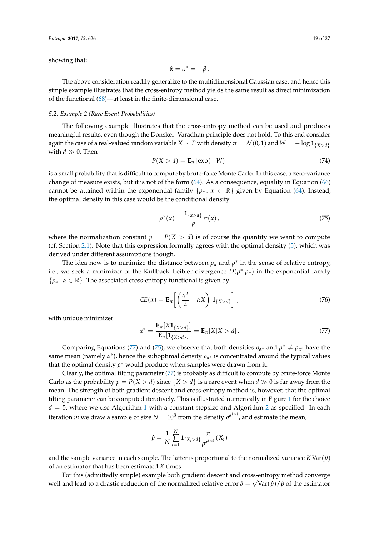showing that:

$$
\hat{\alpha}=\alpha^*=-\beta\,.
$$

The above consideration readily generalize to the multidimensional Gaussian case, and hence this simple example illustrates that the cross-entropy method yields the same result as direct minimization of the functional [\(68\)](#page-17-2)—at least in the finite-dimensional case.

#### *5.2. Example 2 (Rare Event Probabilities)*

The following example illustrates that the cross-entropy method can be used and produces meaningful results, even though the Donsker–Varadhan principle does not hold. To this end consider again the case of a real-valued random variable *X* ∼ *P* with density  $\pi = \mathcal{N}(0, 1)$  and  $W = -\log \mathbf{1}_{\{X > d\}}$ with  $d \gg 0$ . Then

$$
P(X > d) = \mathbf{E}_{\pi} \left[ \exp(-W) \right] \tag{74}
$$

is a small probability that is difficult to compute by brute-force Monte Carlo. In this case, a zero-variance change of measure exists, but it is not of the form [\(64\)](#page-17-0). As a consequence, equality in Equation [\(66\)](#page-17-3) cannot be attained within the exponential family  $\{\rho_\alpha : \alpha \in \mathbb{R}\}$  given by Equation [\(64\)](#page-17-0). Instead, the optimal density in this case would be the conditional density

<span id="page-18-1"></span>
$$
\rho^*(x) = \frac{\mathbf{1}_{\{x > d\}}}{p} \pi(x),\tag{75}
$$

where the normalization constant  $p = P(X > d)$  is of course the quantity we want to compute (cf. Section [2.1\)](#page-2-4). Note that this expression formally agrees with the optimal density [\(5\)](#page-2-2), which was derived under different assumptions though.

The idea now is to minimize the distance between  $\rho_{\alpha}$  and  $\rho^*$  in the sense of relative entropy, i.e., we seek a minimizer of the Kullback–Leibler divergence *D*(*ρ* ∗ |*ρα*) in the exponential family  $\{\rho_\alpha : \alpha \in \mathbb{R}\}.$  The associated cross-entropy functional is given by

$$
CE(\alpha) = \mathbf{E}_{\pi} \left[ \left( \frac{\alpha^2}{2} - \alpha X \right) \mathbf{1}_{\{X > d\}} \right], \tag{76}
$$

with unique minimizer

<span id="page-18-0"></span>
$$
\alpha^* = \frac{\mathbf{E}_{\pi}[X\mathbf{1}_{\{X>d\}}]}{\mathbf{E}_{\pi}[\mathbf{1}_{\{X>d\}}]} = \mathbf{E}_{\pi}[X|X > d]. \tag{77}
$$

Comparing Equations [\(77\)](#page-18-0) and [\(75\)](#page-18-1), we observe that both densities  $\rho_{\alpha^*}$  and  $\rho^* \neq \rho_{\alpha^*}$  have the same mean (namely  $\alpha^*$ ), hence the suboptimal density  $\rho_{\alpha^*}$  is concentrated around the typical values that the optimal density  $\rho^*$  would produce when samples were drawn from it.

Clearly, the optimal tilting parameter [\(77\)](#page-18-0) is probably as difficult to compute by brute-force Monte Carlo as the probability  $p = P(X > d)$  since  $\{X > d\}$  is a rare event when  $d \gg 0$  is far away from the mean. The strength of both gradient descent and cross-entropy method is, however, that the optimal tilting parameter can be computed iteratively. This is illustrated numerically in Figure [1](#page-19-2) for the choice  $d = 5$ , where we use Algorithm [1](#page-13-0) with a constant stepsize and Algorithm [2](#page-15-2) as specified. In each iteration  $m$  we draw a sample of size  $N=10^8$  from the density  $\rho^{\alpha^{(m)}}$ , and estimate the mean,

$$
\hat{p} = \frac{1}{N} \sum_{i=1}^{N} \mathbf{1}_{\{X_i > d\}} \frac{\pi}{\rho^{\alpha^{(m)}}}(X_i)
$$

and the sample variance in each sample. The latter is proportional to the normalized variance  $K \text{Var}(\hat{p})$ of an estimator that has been estimated *K* times.

For this (admittedly simple) example both gradient descent and cross-entropy method converge well and lead to a drastic reduction of the normalized relative error  $\delta = \sqrt{\text{Var}(\hat{p})/\hat{p}}$  of the estimator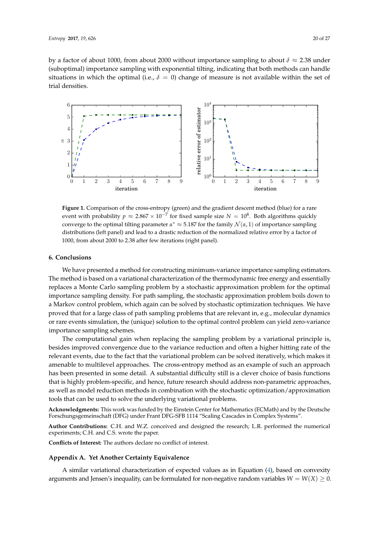by a factor of about 1000, from about 2000 without importance sampling to about *δ* ≈ 2.38 under (suboptimal) importance sampling with exponential tilting, indicating that both methods can handle situations in which the optimal (i.e.,  $\delta = 0$ ) change of measure is not available within the set of trial densities.

<span id="page-19-2"></span>

**Figure 1.** Comparison of the cross-entropy (green) and the gradient descent method (blue) for a rare event with probability  $p \approx 2.867 \times 10^{-7}$  for fixed sample size  $N = 10^8$ . Both algorithms quickly converge to the optimal tilting parameter  $\alpha^* \approx 5.187$  for the family  $\mathcal{N}(\alpha, 1)$  of importance sampling distributions (left panel) and lead to a drastic reduction of the normalized relative error by a factor of 1000, from about 2000 to 2.38 after few iterations (right panel).

## <span id="page-19-0"></span>**6. Conclusions**

We have presented a method for constructing minimum-variance importance sampling estimators. The method is based on a variational characterization of the thermodynamic free energy and essentially replaces a Monte Carlo sampling problem by a stochastic approximation problem for the optimal importance sampling density. For path sampling, the stochastic approximation problem boils down to a Markov control problem, which again can be solved by stochastic optimization techniques. We have proved that for a large class of path sampling problems that are relevant in, e.g., molecular dynamics or rare events simulation, the (unique) solution to the optimal control problem can yield zero-variance importance sampling schemes.

The computational gain when replacing the sampling problem by a variational principle is, besides improved convergence due to the variance reduction and often a higher hitting rate of the relevant events, due to the fact that the variational problem can be solved iteratively, which makes it amenable to multilevel approaches. The cross-entropy method as an example of such an approach has been presented in some detail. A substantial difficulty still is a clever choice of basis functions that is highly problem-specific, and hence, future research should address non-parametric approaches, as well as model reduction methods in combination with the stochastic optimization/approximation tools that can be used to solve the underlying variational problems.

**Acknowledgments:** This work was funded by the Einstein Center for Mathematics (ECMath) and by the Deutsche Forschungsgemeinschaft (DFG) under Frant DFG-SFB 1114 "Scaling Cascades in Complex Systems".

**Author Contributions:** C.H. and W.Z. conceived and designed the research; L.R. performed the numerical experiments; C.H. and C.S. wrote the paper.

**Conflicts of Interest:** The authors declare no conflict of interest.

## <span id="page-19-1"></span>**Appendix A. Yet Another Certainty Equivalence**

A similar variational characterization of expected values as in Equation [\(4\)](#page-2-1), based on convexity arguments and Jensen's inequality, can be formulated for non-negative random variables  $W = W(X) \geq 0$ .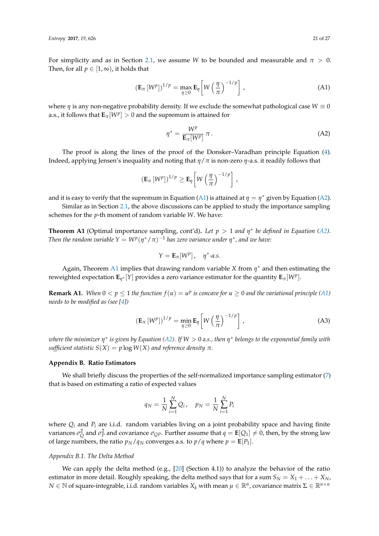For simplicity and as in Section [2.1,](#page-2-4) we assume *W* to be bounded and measurable and  $\pi > 0$ . Then, for all  $p \in [1, \infty)$ , it holds that

<span id="page-20-1"></span>
$$
\left(\mathbf{E}_{\pi}\left[W^{p}\right]\right)^{1/p} = \max_{\eta \geq 0} \mathbf{E}_{\eta} \left[W\left(\frac{\eta}{\pi}\right)^{-1/p}\right],\tag{A1}
$$

where  $\eta$  is any non-negative probability density. If we exclude the somewhat pathological case  $W \equiv 0$ a.s., it follows that  $\mathbf{E}_{\pi}[W^p] > 0$  and the supremum is attained for

<span id="page-20-2"></span>
$$
\eta^* = \frac{W^p}{\mathbf{E}_{\pi}[W^p]} \pi.
$$
 (A2)

The proof is along the lines of the proof of the Donsker–Varadhan principle Equation [\(4\)](#page-2-1). Indeed, applying Jensen's inequality and noting that *η*/*π* is non-zero *η*-a.s. it readily follows that

$$
\left(\mathbf{E}_{\pi}\left[W^{p}\right]\right)^{1/p} \geq \mathbf{E}_{\eta}\left[W\left(\frac{\eta}{\pi}\right)^{-1/p}\right],
$$

and it is easy to verify that the supremum in Equation [\(A1\)](#page-20-1) is attained at  $\eta = \eta^*$  given by Equation [\(A2\)](#page-20-2).

Similar as in Section [2.1,](#page-2-4) the above discussions can be applied to study the importance sampling schemes for the *p*-th moment of random variable *W*. We have:

<span id="page-20-3"></span>**Theorem A1** (Optimal importance sampling, cont'd). Let  $p > 1$  and  $\eta^*$  be defined in Equation [\(A2\)](#page-20-2). *Then the random variable Y* =  $W^p(\eta^*/\pi)^{-1}$  *has zero variance under*  $\eta^*$ *, and we have:* 

$$
Y = \mathbf{E}_{\pi}[W^p], \quad \eta^* \text{-} a.s.
$$

Again, Theorem [A1](#page-20-3) implies that drawing random variable *X* from *η* <sup>∗</sup> and then estimating the reweighted expectation  $\mathbf{E}_{\eta^*}[Y]$  provides a zero variance estimator for the quantity  $\mathbf{E}_{\pi}[W^p]$ .

**Remark A1.** When  $0 < p \le 1$  the function  $f(u) = u^p$  is concave for  $u \ge 0$  and the variational principle [\(A1\)](#page-20-1) *needs to be modified as (see [\[4\]](#page-24-3))*

$$
\left(\mathbf{E}_{\pi}\left[W^{p}\right]\right)^{1/p} = \min_{\eta \geq 0} \mathbf{E}_{\eta} \left[W\left(\frac{\eta}{\pi}\right)^{-1/p}\right],\tag{A3}
$$

*where the minimizer η* ∗ *is given by Equation [\(A2\)](#page-20-2). If W* > 0 *a.s., then η* ∗ *belongs to the exponential family with sufficient statistic*  $S(X) = p \log W(X)$  *and reference density*  $\pi$ *.* 

#### <span id="page-20-0"></span>**Appendix B. Ratio Estimators**

We shall briefly discuss the properties of the self-normalized importance sampling estimator [\(7\)](#page-4-2) that is based on estimating a ratio of expected values

$$
q_N = \frac{1}{N} \sum_{i=1}^{N} Q_i, \quad p_N = \frac{1}{N} \sum_{i=1}^{N} P_i
$$

where *Q<sup>i</sup>* and *P<sup>i</sup>* are i.i.d. random variables living on a joint probability space and having finite  $\sigma$  *v*ariances  $\sigma_Q^2$  and  $\sigma_P^2$  and covariance  $\sigma_{QP}$ . Further assume that  $q = \mathbf{E}[Q_1] \neq 0$ , then, by the strong law of large numbers, the ratio  $p_N/q_N$  converges a.s. to  $p/q$  where  $p = \mathbf{E}[P_1]$ .

## *Appendix B.1. The Delta Method*

We can apply the delta method (e.g.,  $[20]$  (Section 4.1)) to analyze the behavior of the ratio estimator in more detail. Roughly speaking, the delta method says that for a sum  $S_N = X_1 + ... + X_N$ ,  $N \in \mathbb{N}$  of square-integrable, i.i.d. random variables  $X_k$  with mean  $\mu \in \mathbb{R}^n$ , covariance matrix  $\Sigma \in \mathbb{R}^{n \times n}$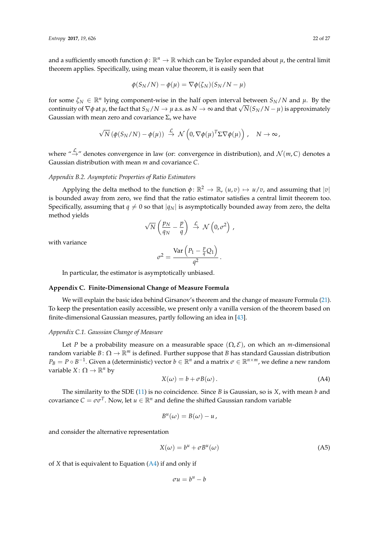and a sufficiently smooth function  $\phi: \mathbb{R}^n \to \mathbb{R}$  which can be Taylor expanded about  $\mu$ , the central limit theorem applies. Specifically, using mean value theorem, it is easily seen that

$$
\phi(S_N/N) - \phi(\mu) = \nabla \phi(\zeta_N)(S_N/N - \mu)
$$

for some  $\zeta_N \in \mathbb{R}^n$  lying component-wise in the half open interval between  $S_N/N$  and  $\mu$ . By the continuity of  $\nabla \phi$  at  $\mu$ , the fact that  $S_N/N \to \mu$  a.s. as  $N \to \infty$  and that  $\sqrt{N}(S_N/N - \mu)$  is approximately Gaussian with mean zero and covariance  $Σ$ , we have

$$
\sqrt{N} \left( \phi(S_N/N) - \phi(\mu) \right) \stackrel{\mathcal{L}}{\rightarrow} \mathcal{N} \left( 0, \nabla \phi(\mu)^T \Sigma \nabla \phi(\mu) \right), \quad N \rightarrow \infty,
$$

where " $\stackrel{\mathcal{L}}{\rightarrow}$ " denotes convergence in law (or: convergence in distribution), and  $\mathcal{N}(m, C)$  denotes a Gaussian distribution with mean *m* and covariance *C*.

## *Appendix B.2. Asymptotic Properties of Ratio Estimators*

Applying the delta method to the function  $\phi \colon \mathbb{R}^2 \to \mathbb{R}$ ,  $(u, v) \mapsto u/v$ , and assuming that  $|v|$ is bounded away from zero, we find that the ratio estimator satisfies a central limit theorem too. Specifically, assuming that  $q \neq 0$  so that  $|q_N|$  is asymptotically bounded away from zero, the delta method yields

$$
\sqrt{N}\left(\frac{p_N}{q_N}-\frac{p}{q}\right)\ \stackrel{\mathcal{L}}{\rightarrow}\ \mathcal{N}\left(0,\sigma^2\right)\ ,
$$

with variance

$$
\sigma^2 = \frac{\text{Var}\left(P_1 - \frac{p}{q}Q_1\right)}{q^2}.
$$

In particular, the estimator is asymptotically unbiased.

## <span id="page-21-0"></span>**Appendix C. Finite-Dimensional Change of Measure Formula**

We will explain the basic idea behind Girsanov's theorem and the change of measure Formula [\(21\)](#page-7-1). To keep the presentation easily accessible, we present only a vanilla version of the theorem based on finite-dimensional Gaussian measures, partly following an idea in [\[43\]](#page-26-1).

## *Appendix C.1. Gaussian Change of Measure*

Let *P* be a probability measure on a measurable space  $(\Omega, \mathcal{E})$ , on which an *m*-dimensional random variable  $B: \Omega \to \mathbb{R}^m$  is defined. Further suppose that *B* has standard Gaussian distribution  $P_B = P \circ B^{-1}$ . Given a (deterministic) vector  $b \in \mathbb{R}^n$  and a matrix  $\sigma \in \mathbb{R}^{n \times m}$ , we define a new random variable *X* :  $\Omega \to \mathbb{R}^n$  by

<span id="page-21-1"></span>
$$
X(\omega) = b + \sigma B(\omega). \tag{A4}
$$

The similarity to the SDE [\(11\)](#page-5-1) is no coincidence. Since *B* is Gaussian, so is *X*, with mean *b* and covariance  $C = \sigma \sigma^T$ . Now, let  $u \in \mathbb{R}^n$  and define the shifted Gaussian random variable

$$
B^u(\omega)=B(\omega)-u,
$$

and consider the alternative representation

$$
X(\omega) = b^u + \sigma B^u(\omega) \tag{A5}
$$

of *X* that is equivalent to Equation [\(A4\)](#page-21-1) if and only if

 $\sigma u = b^u - b$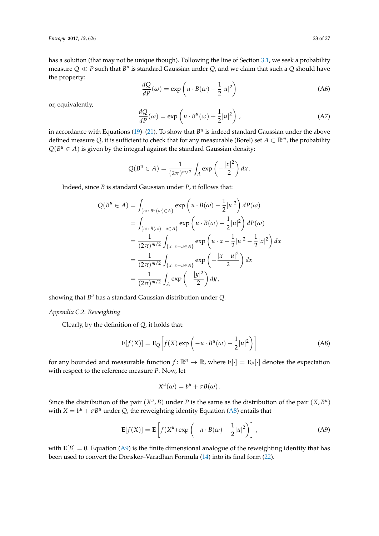has a solution (that may not be unique though). Following the line of Section [3.1,](#page-5-5) we seek a probability measure  $Q \ll P$  such that  $B^u$  is standard Gaussian under  $Q$ , and we claim that such a  $Q$  should have the property:

$$
\frac{dQ}{dP}(\omega) = \exp\left(u \cdot B(\omega) - \frac{1}{2}|u|^2\right) \tag{A6}
$$

or, equivalently,

$$
\frac{dQ}{dP}(\omega) = \exp\left(u \cdot B^u(\omega) + \frac{1}{2}|u|^2\right),\tag{A7}
$$

in accordance with Equations [\(19\)](#page-6-4)–[\(21\)](#page-7-1). To show that  $B^u$  is indeed standard Gaussian under the above defined measure *Q*, it is sufficient to check that for any measurable (Borel) set  $A \subset \mathbb{R}^m$ , the probability  $Q(B^u \in A)$  is given by the integral against the standard Gaussian density:

$$
Q(B^u \in A) = \frac{1}{(2\pi)^{m/2}} \int_A \exp\left(-\frac{|x|^2}{2}\right) dx.
$$

Indeed, since *B* is standard Gaussian under *P*, it follows that:

$$
Q(B^{u} \in A) = \int_{\{\omega : B^{u}(\omega) \in A\}} \exp\left(u \cdot B(\omega) - \frac{1}{2}|u|^{2}\right) dP(\omega)
$$
  
= 
$$
\int_{\{\omega : B(\omega) - u \in A\}} \exp\left(u \cdot B(\omega) - \frac{1}{2}|u|^{2}\right) dP(\omega)
$$
  
= 
$$
\frac{1}{(2\pi)^{m/2}} \int_{\{x : x - u \in A\}} \exp\left(u \cdot x - \frac{1}{2}|u|^{2} - \frac{1}{2}|x|^{2}\right) dx
$$
  
= 
$$
\frac{1}{(2\pi)^{m/2}} \int_{\{x : x - u \in A\}} \exp\left(-\frac{|x - u|^{2}}{2}\right) dx
$$
  
= 
$$
\frac{1}{(2\pi)^{m/2}} \int_{A} \exp\left(-\frac{|y|^{2}}{2}\right) dy,
$$

showing that  $B^u$  has a standard Gaussian distribution under Q.

*Appendix C.2. Reweighting*

Clearly, by the definition of *Q*, it holds that:

<span id="page-22-0"></span>
$$
\mathbf{E}[f(X)] = \mathbf{E}_{Q} \left[ f(X) \exp \left( -u \cdot B^{u}(\omega) - \frac{1}{2} |u|^{2} \right) \right]
$$
(A8)

for any bounded and measurable function  $f: \mathbb{R}^n \to \mathbb{R}$ , where  $\mathbf{E}[\cdot] = \mathbf{E}_P[\cdot]$  denotes the expectation with respect to the reference measure *P*. Now, let

$$
X^u(\omega) = b^u + \sigma B(\omega).
$$

Since the distribution of the pair  $(X^u, B)$  under *P* is the same as the distribution of the pair  $(X, B^u)$ with  $X = b^{\mu} + \sigma B^{\mu}$  under *Q*, the reweighting identity Equation [\(A8\)](#page-22-0) entails that

<span id="page-22-1"></span>
$$
\mathbf{E}[f(X)] = \mathbf{E}\left[f(X^u)\exp\left(-u \cdot B(\omega) - \frac{1}{2}|u|^2\right)\right],
$$
 (A9)

with  $E[B] = 0$ . Equation [\(A9\)](#page-22-1) is the finite dimensional analogue of the reweighting identity that has been used to convert the Donsker–Varadhan Formula [\(14\)](#page-5-4) into its final form [\(22\)](#page-7-3).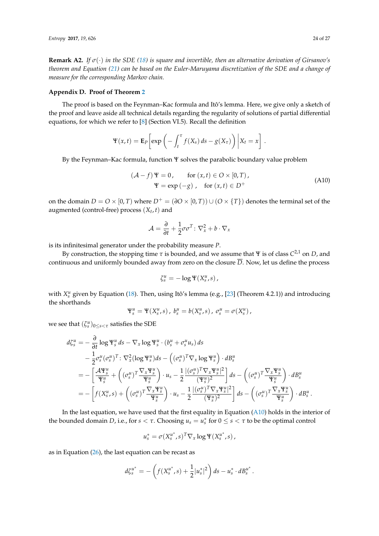**Remark A2.** *If σ*(·) *in the SDE [\(18\)](#page-6-2) is square and invertible, then an alternative derivation of Girsanov's theorem and Equation [\(21\)](#page-7-1) can be based on the Euler-Maruyama discretization of the SDE and a change of measure for the corresponding Markov chain.*

#### <span id="page-23-0"></span>**Appendix D. Proof of Theorem [2](#page-8-0)**

The proof is based on the Feynman–Kac formula and Itô's lemma. Here, we give only a sketch of the proof and leave aside all technical details regarding the regularity of solutions of partial differential equations, for which we refer to [\[8\]](#page-24-7) (Section VI.5). Recall the definition

$$
\Psi(x,t) = \mathbf{E}_P \bigg[ exp \left( - \int_t^{\tau} f(X_s) ds - g(X_{\tau}) \right) \bigg| X_t = x \bigg] .
$$

By the Feynman–Kac formula, function Ψ solves the parabolic boundary value problem

<span id="page-23-1"></span>
$$
(\mathcal{A} - f)\Psi = 0, \quad \text{for } (x, t) \in O \times [0, T),
$$
  
 
$$
\Psi = \exp(-g), \quad \text{for } (x, t) \in D^{+}
$$
 (A10)

on the domain  $D = O \times [0, T)$  where  $D^+ = (\partial O \times [0, T)) \cup (O \times \{T\})$  denotes the terminal set of the augmented (control-free) process (*X<sup>t</sup>* , *t*) and

$$
\mathcal{A} = \frac{\partial}{\partial t} + \frac{1}{2}\sigma\sigma^T\colon \nabla_x^2 + b\cdot\nabla_x
$$

is its infinitesimal generator under the probability measure *P*.

By construction, the stopping time  $\tau$  is bounded, and we assume that  $\Psi$  is of class  $C^{2,1}$  on  $D$ , and continuous and uniformly bounded away from zero on the closure  $\overline{D}$ . Now, let us define the process

$$
\zeta_s^u = -\log \Psi(X_s^u, s),
$$

with  $X_s^u$  given by Equation [\(18\)](#page-6-2). Then, using Itô's lemma (e.g., [\[23\]](#page-25-7) (Theorem 4.2.1)) and introducing the shorthands

$$
\Psi_s^u = \Psi(X_s^u, s), b_s^u = b(X_s^u, s), \sigma_s^u = \sigma(X_s^u),
$$

we see that  $(\zeta_s^u)_{0 \le s < \tau}$  satisfies the SDE

$$
d\zeta_s^u = -\frac{\partial}{\partial t} \log \Psi_s^u ds - \nabla_x \log \Psi_s^u \cdot (b_s^u + \sigma_s^u u_s) ds
$$
  
\n
$$
- \frac{1}{2} \sigma_s^u (\sigma_s^u)^T : \nabla_x^2 (\log \Psi_s^u) ds - ((\sigma_s^u)^T \nabla_x \log \Psi_s^u) \cdot dB_s^u
$$
  
\n
$$
= -\left[ \frac{\mathcal{A} \Psi_s^u}{\Psi_s^u} + ((\sigma_s^u)^T \frac{\nabla_x \Psi_s^u}{\Psi_s^u}) \cdot u_s - \frac{1}{2} \frac{[(\sigma_s^u)^T \nabla_x \Psi_s^u]^2}{(\Psi_s^u)^2} \right] ds - ((\sigma_s^u)^T \frac{\nabla_x \Psi_s^u}{\Psi_s^u}) \cdot dB_s^u
$$
  
\n
$$
= -\left[ f(X_s^u, s) + ((\sigma_s^u)^T \frac{\nabla_x \Psi_s^u}{\Psi_s^u}) \cdot u_s - \frac{1}{2} \frac{[(\sigma_s^u)^T \nabla_x \Psi_s^u]^2}{(\Psi_s^u)^2} \right] ds - ((\sigma_s^u)^T \frac{\nabla_x \Psi_s^u}{\Psi_s^u}) \cdot dB_s^u.
$$

In the last equation, we have used that the first equality in Equation [\(A10\)](#page-23-1) holds in the interior of the bounded domain *D*, i.e., for  $s < \tau$ . Choosing  $u_s = u_s^*$  for  $0 \le s < \tau$  to be the optimal control

$$
u_s^* = \sigma(X_s^{u^*}, s)^T \nabla_x \log \Psi(X_s^{u^*}, s),
$$

as in Equation [\(26\)](#page-8-1), the last equation can be recast as

$$
d\zeta_s^{u^*} = -\left(f(X_s^{u^*}, s) + \frac{1}{2}|u_s^*|^2\right)ds - u_s^*\cdot dB_s^{u^*}.
$$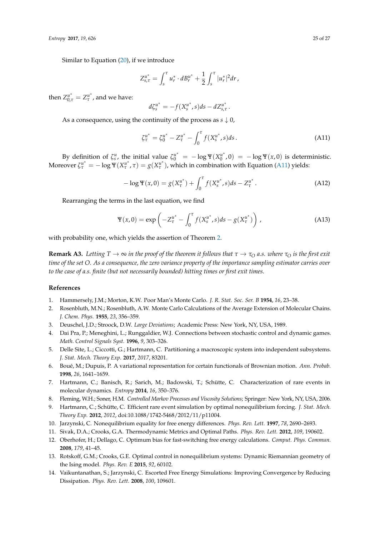Similar to Equation [\(20\)](#page-7-0), if we introduce

$$
Z_{s,\tau}^{u^*} = \int_s^{\tau} u_r^* \cdot dB_r^{u^*} + \frac{1}{2} \int_s^{\tau} |u_r^*|^2 dr,
$$

then  $Z_{0,\tau}^{u^*} = Z_{\tau}^{u^*}$ *τ* , and we have:

$$
d\zeta_s^{u^*} = -f(X_s^{u^*}, s)ds - dZ_{s,\tau}^{u^*}.
$$

As a consequence, using the continuity of the process as  $s \downarrow 0$ ,

<span id="page-24-14"></span>
$$
\zeta_{\tau}^{u^*} = \zeta_0^{u^*} - Z_{\tau}^{u^*} - \int_0^{\tau} f(X_s^{u^*}, s) ds. \tag{A11}
$$

By definition of  $\zeta_s^u$ , the initial value  $\zeta_0^{u^*} = -\log \Psi(X_0^{u^*})$  $\int_0^{u^*}$ , 0) =  $-\log \Psi(x, 0)$  is deterministic. Moreover  $\zeta_{\tau}^{u^*} = -\log \Psi(X_{\tau}^{u^*})$  $g(X_{\tau}^u, \tau) = g(X_{\tau}^u)$  $\binom{u^*}{\tau}$ , which in combination with Equation [\(A11\)](#page-24-14) yields:

$$
-\log \Psi(x,0) = g(X_{\tau}^{u^*}) + \int_0^{\tau} f(X_s^{u^*}, s) ds - Z_{\tau}^{u^*}.
$$
 (A12)

Rearranging the terms in the last equation, we find

$$
\Psi(x,0) = \exp\left(-Z_{\tau}^{u^*} - \int_0^{\tau} f(X_s^{u^*}, s)ds - g(X_{\tau}^{u^*})\right),
$$
\n(A13)

with probability one, which yields the assertion of Theorem [2.](#page-8-0)

**Remark A3.** Letting  $T \to \infty$  *in the proof of the theorem it follows that*  $\tau \to \tau_O$  *a.s. where*  $\tau_O$  *is the first exit time of the set O. As a consequence, the zero variance property of the importance sampling estimator carries over to the case of a.s. finite (but not necessarily bounded) hitting times or first exit times.*

## **References**

- <span id="page-24-0"></span>1. Hammersely, J.M.; Morton, K.W. Poor Man's Monte Carlo. *J. R. Stat. Soc. Ser. B* **1954**, *16*, 23–38.
- <span id="page-24-1"></span>2. Rosenbluth, M.N.; Rosenbluth, A.W. Monte Carlo Calculations of the Average Extension of Molecular Chains. *J. Chem. Phys.* **1955**, *23*, 356–359.
- <span id="page-24-3"></span><span id="page-24-2"></span>3. Deuschel, J.D.; Stroock, D.W. *Large Deviations*; Academic Press: New York, NY, USA, 1989.
- 4. Dai Pra, P.; Meneghini, L.; Runggaldier, W.J. Connections between stochastic control and dynamic games. *Math. Control Signals Syst.* **1996**, *9*, 303–326.
- <span id="page-24-4"></span>5. Delle Site, L.; Ciccotti, G.; Hartmann, C. Partitioning a macroscopic system into independent subsystems. *J. Stat. Mech. Theory Exp.* **2017**, *2017*, 83201.
- <span id="page-24-5"></span>6. Boué, M.; Dupuis, P. A variational representation for certain functionals of Brownian motion. *Ann. Probab.* **1998**, *26*, 1641–1659.
- <span id="page-24-6"></span>7. Hartmann, C.; Banisch, R.; Sarich, M.; Badowski, T.; Schütte, C. Characterization of rare events in molecular dynamics. *Entropy* **2014**, *16*, 350–376.
- <span id="page-24-7"></span>8. Fleming, W.H.; Soner, H.M. *Controlled Markov Processes and Viscosity Solutions*; Springer: New York, NY, USA, 2006.
- <span id="page-24-8"></span>9. Hartmann, C.; Schütte, C. Efficient rare event simulation by optimal nonequilibrium forcing. *J. Stat. Mech. Theory Exp.* **2012**, *2012*, doi:10.1088/1742-5468/2012/11/p11004.
- <span id="page-24-9"></span>10. Jarzynski, C. Nonequilibrium equality for free energy differences. *Phys. Rev. Lett.* **1997**, *78*, 2690–2693.
- <span id="page-24-10"></span>11. Sivak, D.A.; Crooks, G.A. Thermodynamic Metrics and Optimal Paths. *Phys. Rev. Lett.* **2012**, *109*, 190602.
- <span id="page-24-12"></span>12. Oberhofer, H.; Dellago, C. Optimum bias for fast-switching free energy calculations. *Comput. Phys. Commun.* **2008**, *179*, 41–45.
- <span id="page-24-13"></span>13. Rotskoff, G.M.; Crooks, G.E. Optimal control in nonequilibrium systems: Dynamic Riemannian geometry of the Ising model. *Phys. Rev. E* **2015**, *92*, 60102.
- <span id="page-24-11"></span>14. Vaikuntanathan, S.; Jarzynski, C. Escorted Free Energy Simulations: Improving Convergence by Reducing Dissipation. *Phys. Rev. Lett.* **2008**, *100*, 109601.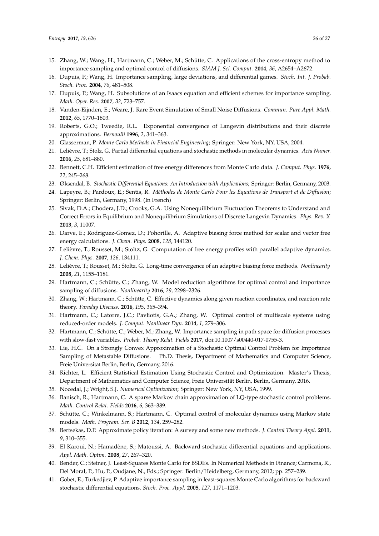- <span id="page-25-0"></span>15. Zhang, W.; Wang, H.; Hartmann, C.; Weber, M.; Schütte, C. Applications of the cross-entropy method to importance sampling and optimal control of diffusions. *SIAM J. Sci. Comput.* **2014**, *36*, A2654–A2672.
- <span id="page-25-1"></span>16. Dupuis, P.; Wang, H. Importance sampling, large deviations, and differential games. *Stoch. Int. J. Probab. Stoch. Proc.* **2004**, *76*, 481–508.
- 17. Dupuis, P.; Wang, H. Subsolutions of an Isaacs equation and efficient schemes for importance sampling. *Math. Oper. Res.* **2007**, *32*, 723–757.
- <span id="page-25-2"></span>18. Vanden-Eijnden, E.; Weare, J. Rare Event Simulation of Small Noise Diffusions. *Commun. Pure Appl. Math.* **2012**, *65*, 1770–1803.
- <span id="page-25-3"></span>19. Roberts, G.O.; Tweedie, R.L. Exponential convergence of Langevin distributions and their discrete approximations. *Bernoulli* **1996**, *2*, 341–363.
- <span id="page-25-4"></span>20. Glasserman, P. *Monte Carlo Methods in Financial Engineering*; Springer: New York, NY, USA, 2004.
- <span id="page-25-5"></span>21. Lelièvre, T.; Stolz, G. Partial differential equations and stochastic methods in molecular dynamics. *Acta Numer.* **2016**, *25*, 681–880.
- <span id="page-25-6"></span>22. Bennett, C.H. Efficient estimation of free energy differences from Monte Carlo data. *J. Comput. Phys.* **1976**, *22*, 245–268.
- <span id="page-25-7"></span>23. Øksendal, B. *Stochastic Differential Equations: An Introduction with Applications*; Springer: Berlin, Germany, 2003.
- <span id="page-25-8"></span>24. Lapeyre, B.; Pardoux, E.; Sentis, R. *Méthodes de Monte Carlo Pour les Équations de Transport et de Diffusion*; Springer: Berlin, Germany, 1998. (In French)
- <span id="page-25-9"></span>25. Sivak, D.A.; Chodera, J.D.; Crooks, G.A. Using Nonequilibrium Fluctuation Theorems to Understand and Correct Errors in Equilibrium and Nonequilibrium Simulations of Discrete Langevin Dynamics. *Phys. Rev. X* **2013**, *3*, 11007.
- <span id="page-25-10"></span>26. Darve, E.; Rodriguez-Gomez, D.; Pohorille, A. Adaptive biasing force method for scalar and vector free energy calculations. *J. Chem. Phys.* **2008**, *128*, 144120.
- 27. Lelièvre, T.; Rousset, M.; Stoltz, G. Computation of free energy profiles with parallel adaptive dynamics. *J. Chem. Phys.* **2007**, *126*, 134111.
- <span id="page-25-11"></span>28. Lelièvre, T.; Rousset, M.; Stoltz, G. Long-time convergence of an adaptive biasing force methods. *Nonlinearity* **2008**, *21*, 1155–1181.
- <span id="page-25-12"></span>29. Hartmann, C.; Schütte, C.; Zhang, W. Model reduction algorithms for optimal control and importance sampling of diffusions. *Nonlinearity* **2016**, *29*, 2298–2326.
- <span id="page-25-13"></span>30. Zhang, W.; Hartmann, C.; Schütte, C. Effective dynamics along given reaction coordinates, and reaction rate theory. *Faraday Discuss.* **2016**, *195*, 365–394.
- <span id="page-25-14"></span>31. Hartmann, C.; Latorre, J.C.; Pavliotis, G.A.; Zhang, W. Optimal control of multiscale systems using reduced-order models. *J. Comput. Nonlinear Dyn.* **2014**, *1*, 279–306.
- <span id="page-25-15"></span>32. Hartmann, C.; Schütte, C.; Weber, M.; Zhang, W. Importance sampling in path space for diffusion processes with slow-fast variables. *Probab. Theory Relat. Fields* **2017**, doi:10.1007/s00440-017-0755-3.
- <span id="page-25-16"></span>33. Lie, H.C. On a Strongly Convex Approximation of a Stochastic Optimal Control Problem for Importance Sampling of Metastable Diffusions. Ph.D. Thesis, Department of Mathematics and Computer Science, Freie Universität Berlin, Berlin, Germany, 2016.
- <span id="page-25-17"></span>34. Richter, L. Efficient Statistical Estimation Using Stochastic Control and Optimization. Master's Thesis, Department of Mathematics and Computer Science, Freie Universität Berlin, Berlin, Germany, 2016.
- <span id="page-25-19"></span><span id="page-25-18"></span>35. Nocedal, J.; Wright, S.J. *Numerical Optimization*; Springer: New York, NY, USA, 1999.
- 36. Banisch, R.; Hartmann, C. A sparse Markov chain approximation of LQ-type stochastic control problems. *Math. Control Relat. Fields* **2016**, *6*, 363–389.
- <span id="page-25-20"></span>37. Schütte, C.; Winkelmann, S.; Hartmann, C. Optimal control of molecular dynamics using Markov state models. *Math. Program. Ser. B* **2012**, *134*, 259–282.
- <span id="page-25-21"></span>38. Bertsekas, D.P. Approximate policy iteration: A survey and some new methods. *J. Control Theory Appl.* **2011**, *9*, 310–355.
- <span id="page-25-22"></span>39. El Karoui, N.; Hamadène, S.; Matoussi, A. Backward stochastic differential equations and applications. *Appl. Math. Optim.* **2008**, *27*, 267–320.
- <span id="page-25-23"></span>40. Bender, C.; Steiner, J. Least-Squares Monte Carlo for BSDEs. In Numerical Methods in Finance; Carmona, R., Del Moral, P., Hu, P., Oudjane, N., Eds.; Springer: Berlin/Heidelberg, Germany, 2012; pp. 257–289.
- <span id="page-25-24"></span>41. Gobet, E.; Turkedjiev, P. Adaptive importance sampling in least-squares Monte Carlo algorithms for backward stochastic differential equations. *Stoch. Proc. Appl.* **2005**, *127*, 1171–1203.